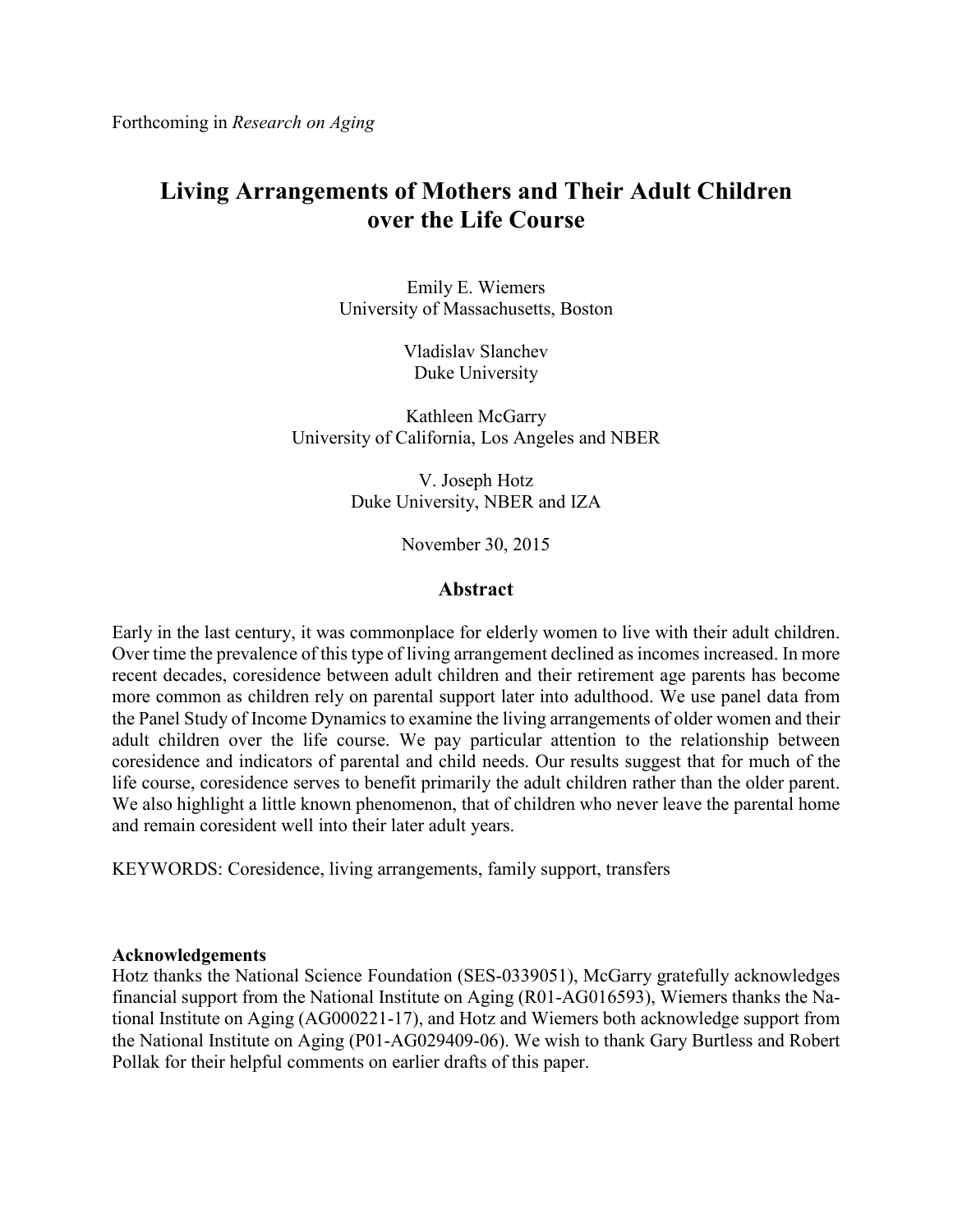# **Living Arrangements of Mothers and Their Adult Children over the Life Course**

Emily E. Wiemers University of Massachusetts, Boston

> Vladislav Slanchev Duke University

Kathleen McGarry University of California, Los Angeles and NBER

> V. Joseph Hotz Duke University, NBER and IZA

> > November 30, 2015

## **Abstract**

Early in the last century, it was commonplace for elderly women to live with their adult children. Over time the prevalence of this type of living arrangement declined as incomes increased. In more recent decades, coresidence between adult children and their retirement age parents has become more common as children rely on parental support later into adulthood. We use panel data from the Panel Study of Income Dynamics to examine the living arrangements of older women and their adult children over the life course. We pay particular attention to the relationship between coresidence and indicators of parental and child needs. Our results suggest that for much of the life course, coresidence serves to benefit primarily the adult children rather than the older parent. We also highlight a little known phenomenon, that of children who never leave the parental home and remain coresident well into their later adult years.

KEYWORDS: Coresidence, living arrangements, family support, transfers

## **Acknowledgements**

Hotz thanks the National Science Foundation (SES-0339051), McGarry gratefully acknowledges financial support from the National Institute on Aging (R01-AG016593), Wiemers thanks the National Institute on Aging (AG000221-17), and Hotz and Wiemers both acknowledge support from the National Institute on Aging (P01-AG029409-06). We wish to thank Gary Burtless and Robert Pollak for their helpful comments on earlier drafts of this paper.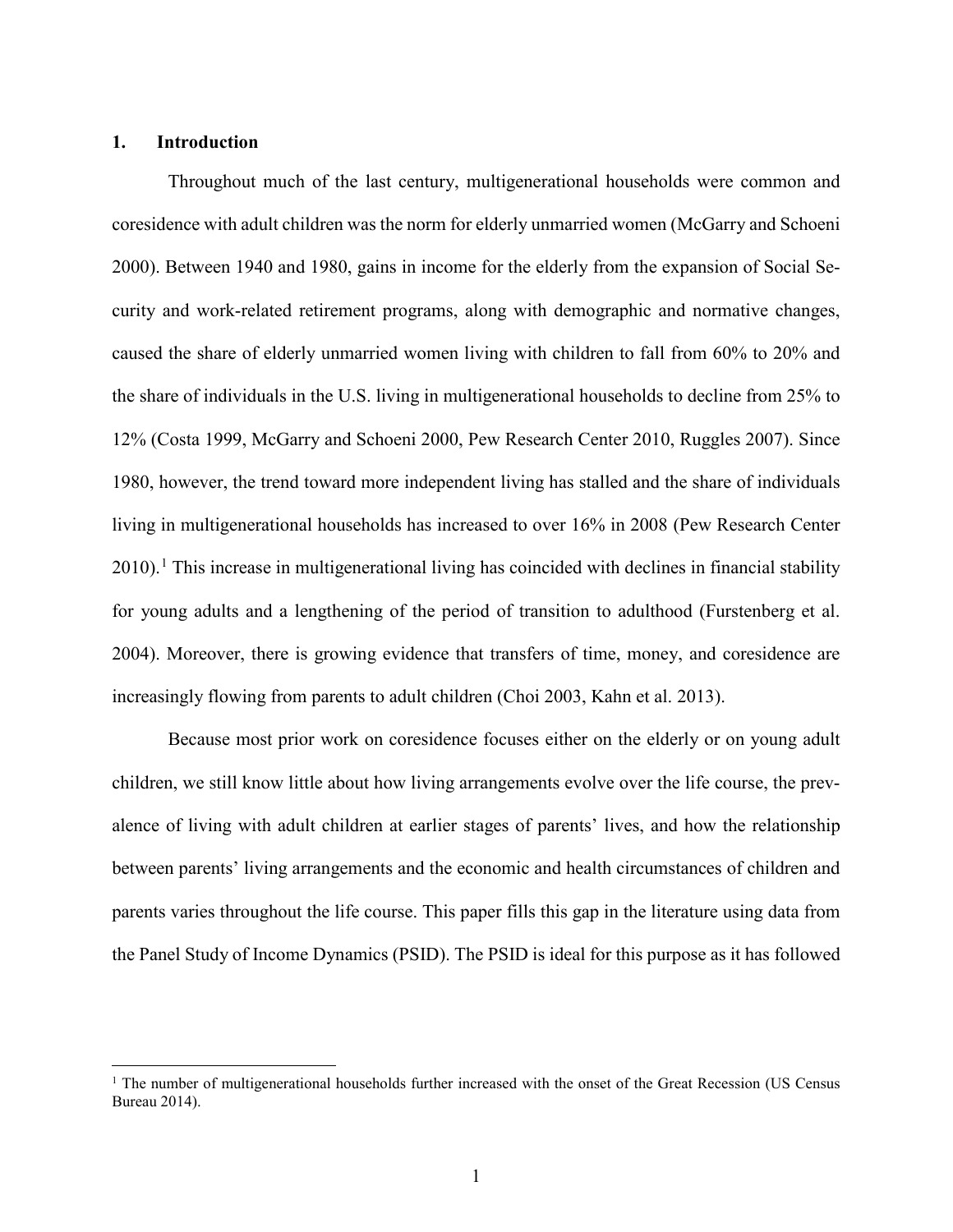### **1. Introduction**

Throughout much of the last century, multigenerational households were common and coresidence with adult children was the norm for elderly unmarried women (McGarry and Schoeni 2000). Between 1940 and 1980, gains in income for the elderly from the expansion of Social Security and work-related retirement programs, along with demographic and normative changes, caused the share of elderly unmarried women living with children to fall from 60% to 20% and the share of individuals in the U.S. living in multigenerational households to decline from 25% to 12% (Costa 1999, McGarry and Schoeni 2000, Pew Research Center 2010, Ruggles 2007). Since 1980, however, the trend toward more independent living has stalled and the share of individuals living in multigenerational households has increased to over 16% in 2008 (Pew Research Center  $2010$  $2010$  $2010$ .<sup>1</sup> This increase in multigenerational living has coincided with declines in financial stability for young adults and a lengthening of the period of transition to adulthood (Furstenberg et al. 2004). Moreover, there is growing evidence that transfers of time, money, and coresidence are increasingly flowing from parents to adult children (Choi 2003, Kahn et al. 2013).

Because most prior work on coresidence focuses either on the elderly or on young adult children, we still know little about how living arrangements evolve over the life course, the prevalence of living with adult children at earlier stages of parents' lives, and how the relationship between parents' living arrangements and the economic and health circumstances of children and parents varies throughout the life course. This paper fills this gap in the literature using data from the Panel Study of Income Dynamics (PSID). The PSID is ideal for this purpose as it has followed

<span id="page-1-0"></span> $1$  The number of multigenerational households further increased with the onset of the Great Recession (US Census Bureau 2014).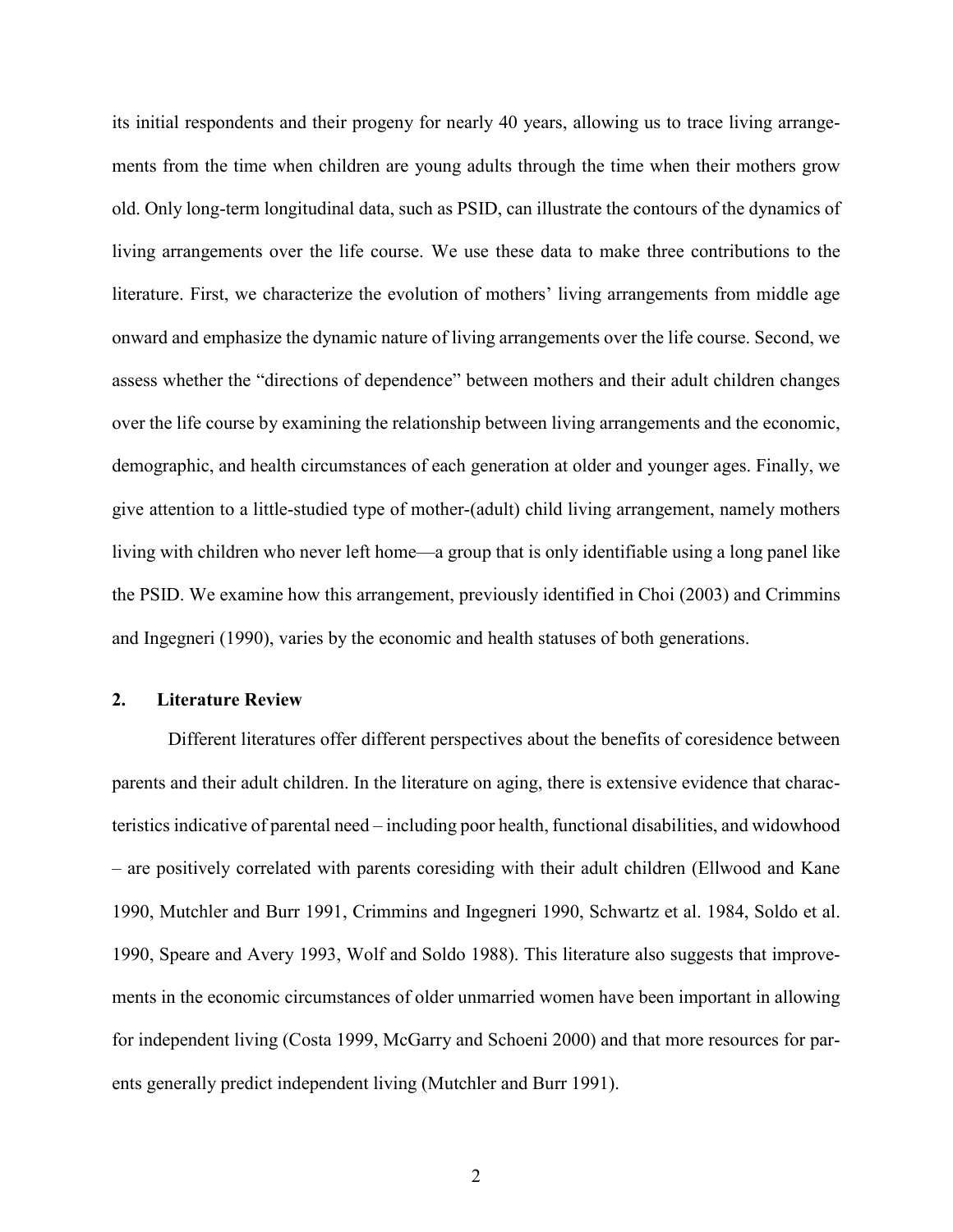its initial respondents and their progeny for nearly 40 years, allowing us to trace living arrangements from the time when children are young adults through the time when their mothers grow old. Only long-term longitudinal data, such as PSID, can illustrate the contours of the dynamics of living arrangements over the life course. We use these data to make three contributions to the literature. First, we characterize the evolution of mothers' living arrangements from middle age onward and emphasize the dynamic nature of living arrangements over the life course. Second, we assess whether the "directions of dependence" between mothers and their adult children changes over the life course by examining the relationship between living arrangements and the economic, demographic, and health circumstances of each generation at older and younger ages. Finally, we give attention to a little-studied type of mother-(adult) child living arrangement, namely mothers living with children who never left home—a group that is only identifiable using a long panel like the PSID. We examine how this arrangement, previously identified in Choi (2003) and Crimmins and Ingegneri (1990), varies by the economic and health statuses of both generations.

#### **2. Literature Review**

Different literatures offer different perspectives about the benefits of coresidence between parents and their adult children. In the literature on aging, there is extensive evidence that characteristics indicative of parental need – including poor health, functional disabilities, and widowhood – are positively correlated with parents coresiding with their adult children (Ellwood and Kane 1990, Mutchler and Burr 1991, Crimmins and Ingegneri 1990, Schwartz et al. 1984, Soldo et al. 1990, Speare and Avery 1993, Wolf and Soldo 1988). This literature also suggests that improvements in the economic circumstances of older unmarried women have been important in allowing for independent living (Costa 1999, McGarry and Schoeni 2000) and that more resources for parents generally predict independent living (Mutchler and Burr 1991).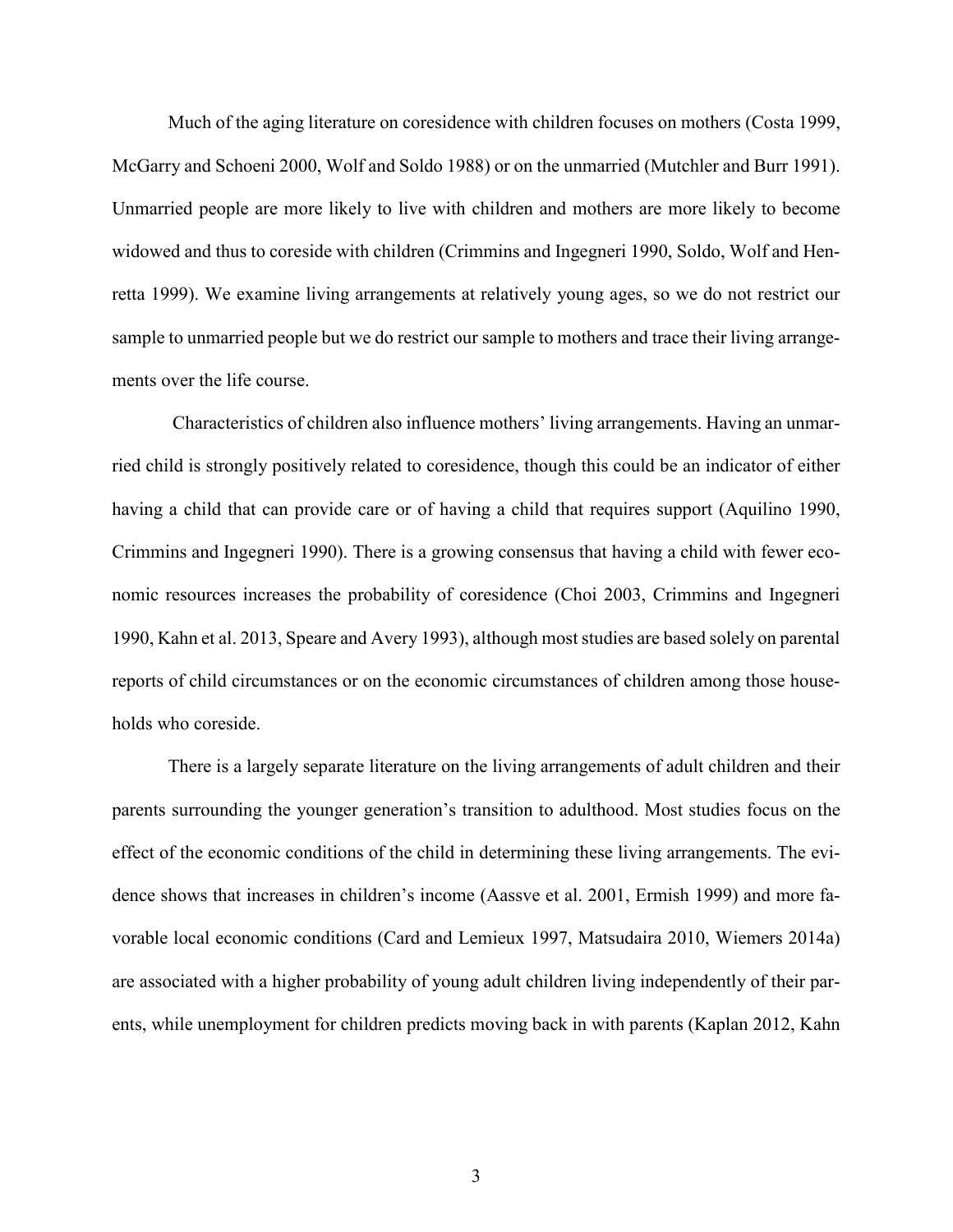Much of the aging literature on coresidence with children focuses on mothers (Costa 1999, McGarry and Schoeni 2000, Wolf and Soldo 1988) or on the unmarried (Mutchler and Burr 1991). Unmarried people are more likely to live with children and mothers are more likely to become widowed and thus to coreside with children (Crimmins and Ingegneri 1990, Soldo, Wolf and Henretta 1999). We examine living arrangements at relatively young ages, so we do not restrict our sample to unmarried people but we do restrict our sample to mothers and trace their living arrangements over the life course.

Characteristics of children also influence mothers' living arrangements. Having an unmarried child is strongly positively related to coresidence, though this could be an indicator of either having a child that can provide care or of having a child that requires support (Aquilino 1990, Crimmins and Ingegneri 1990). There is a growing consensus that having a child with fewer economic resources increases the probability of coresidence (Choi 2003, Crimmins and Ingegneri 1990, Kahn et al. 2013, Speare and Avery 1993), although moststudies are based solely on parental reports of child circumstances or on the economic circumstances of children among those households who coreside.

There is a largely separate literature on the living arrangements of adult children and their parents surrounding the younger generation's transition to adulthood. Most studies focus on the effect of the economic conditions of the child in determining these living arrangements. The evidence shows that increases in children's income (Aassve et al. 2001, Ermish 1999) and more favorable local economic conditions (Card and Lemieux 1997, Matsudaira 2010, Wiemers 2014a) are associated with a higher probability of young adult children living independently of their parents, while unemployment for children predicts moving back in with parents (Kaplan 2012, Kahn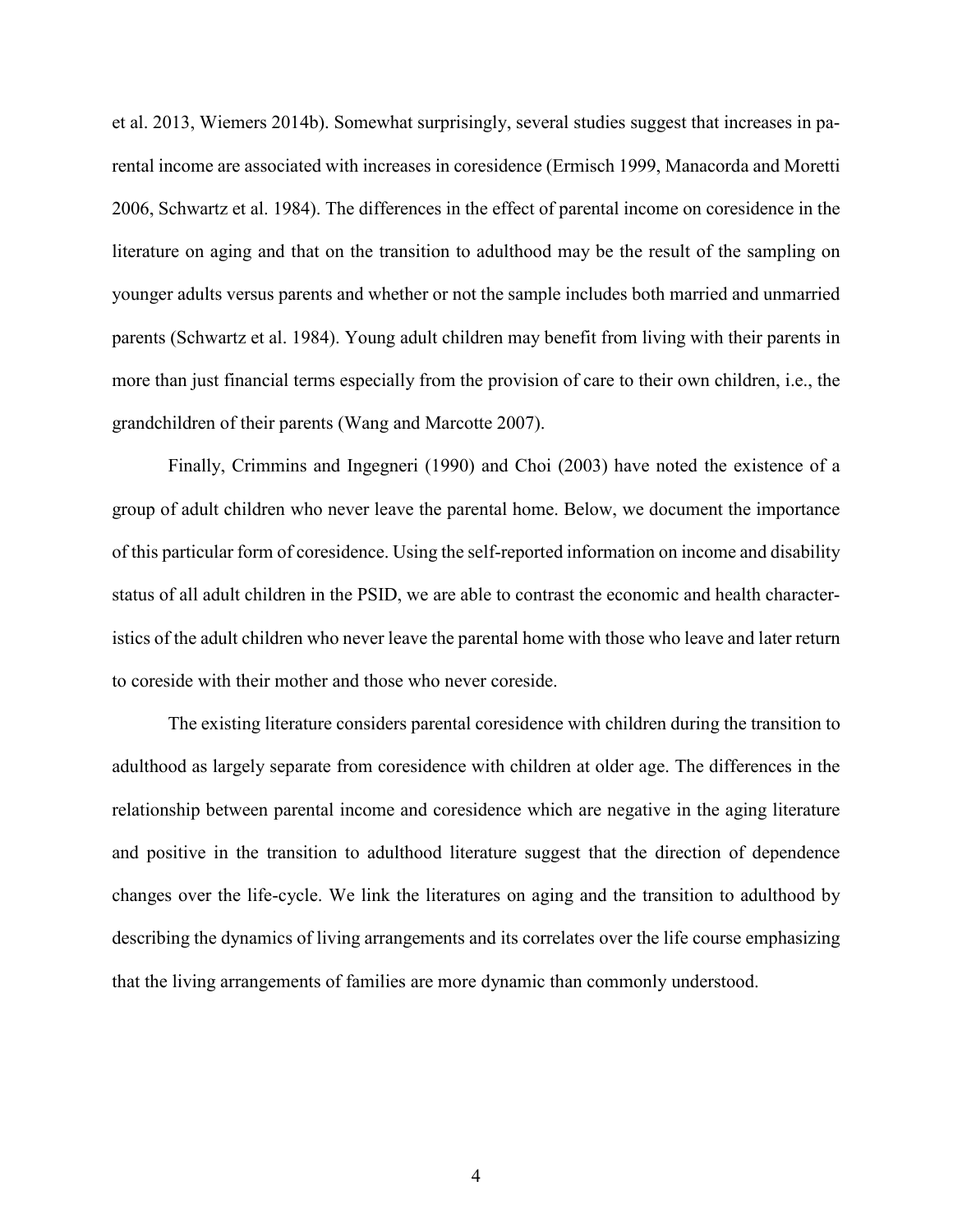et al. 2013, Wiemers 2014b). Somewhat surprisingly, several studies suggest that increases in parental income are associated with increases in coresidence (Ermisch 1999, Manacorda and Moretti 2006, Schwartz et al. 1984). The differences in the effect of parental income on coresidence in the literature on aging and that on the transition to adulthood may be the result of the sampling on younger adults versus parents and whether or not the sample includes both married and unmarried parents (Schwartz et al. 1984). Young adult children may benefit from living with their parents in more than just financial terms especially from the provision of care to their own children, i.e., the grandchildren of their parents (Wang and Marcotte 2007).

Finally, Crimmins and Ingegneri (1990) and Choi (2003) have noted the existence of a group of adult children who never leave the parental home. Below, we document the importance of this particular form of coresidence. Using the self-reported information on income and disability status of all adult children in the PSID, we are able to contrast the economic and health characteristics of the adult children who never leave the parental home with those who leave and later return to coreside with their mother and those who never coreside.

The existing literature considers parental coresidence with children during the transition to adulthood as largely separate from coresidence with children at older age. The differences in the relationship between parental income and coresidence which are negative in the aging literature and positive in the transition to adulthood literature suggest that the direction of dependence changes over the life-cycle. We link the literatures on aging and the transition to adulthood by describing the dynamics of living arrangements and its correlates over the life course emphasizing that the living arrangements of families are more dynamic than commonly understood.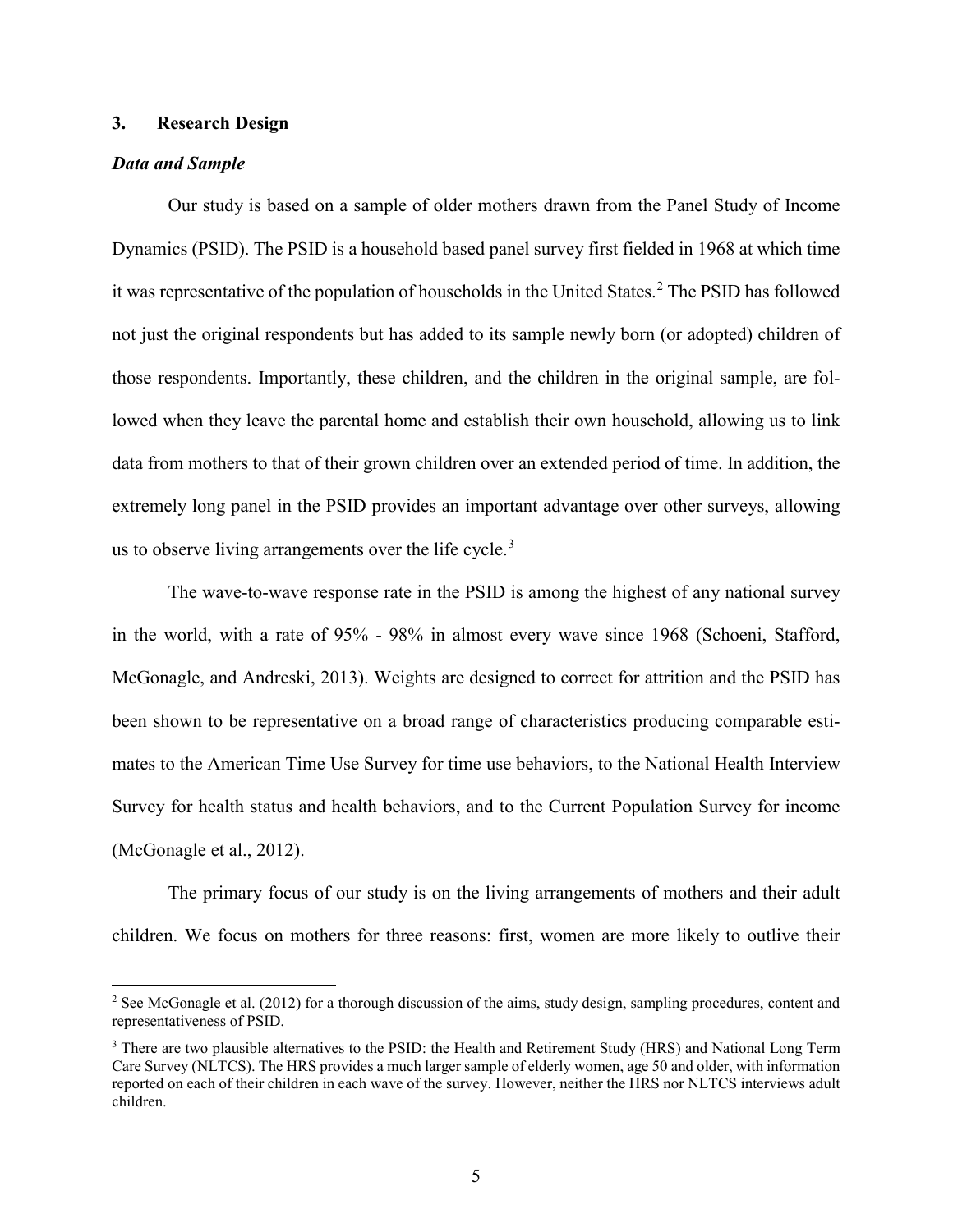## **3. Research Design**

#### *Data and Sample*

Our study is based on a sample of older mothers drawn from the Panel Study of Income Dynamics (PSID). The PSID is a household based panel survey first fielded in 1968 at which time it was representative of the population of households in the United States.<sup>[2](#page-5-0)</sup> The PSID has followed not just the original respondents but has added to its sample newly born (or adopted) children of those respondents. Importantly, these children, and the children in the original sample, are followed when they leave the parental home and establish their own household, allowing us to link data from mothers to that of their grown children over an extended period of time. In addition, the extremely long panel in the PSID provides an important advantage over other surveys, allowing us to observe living arrangements over the life cycle.<sup>[3](#page-5-1)</sup>

The wave-to-wave response rate in the PSID is among the highest of any national survey in the world, with a rate of 95% - 98% in almost every wave since 1968 (Schoeni, Stafford, McGonagle, and Andreski, 2013). Weights are designed to correct for attrition and the PSID has been shown to be representative on a broad range of characteristics producing comparable estimates to the American Time Use Survey for time use behaviors, to the National Health Interview Survey for health status and health behaviors, and to the Current Population Survey for income (McGonagle et al., 2012).

The primary focus of our study is on the living arrangements of mothers and their adult children. We focus on mothers for three reasons: first, women are more likely to outlive their

<span id="page-5-0"></span><sup>&</sup>lt;sup>2</sup> See McGonagle et al. (2012) for a thorough discussion of the aims, study design, sampling procedures, content and representativeness of PSID.

<span id="page-5-1"></span><sup>&</sup>lt;sup>3</sup> There are two plausible alternatives to the PSID: the Health and Retirement Study (HRS) and National Long Term Care Survey (NLTCS). The HRS provides a much larger sample of elderly women, age 50 and older, with information reported on each of their children in each wave of the survey. However, neither the HRS nor NLTCS interviews adult children.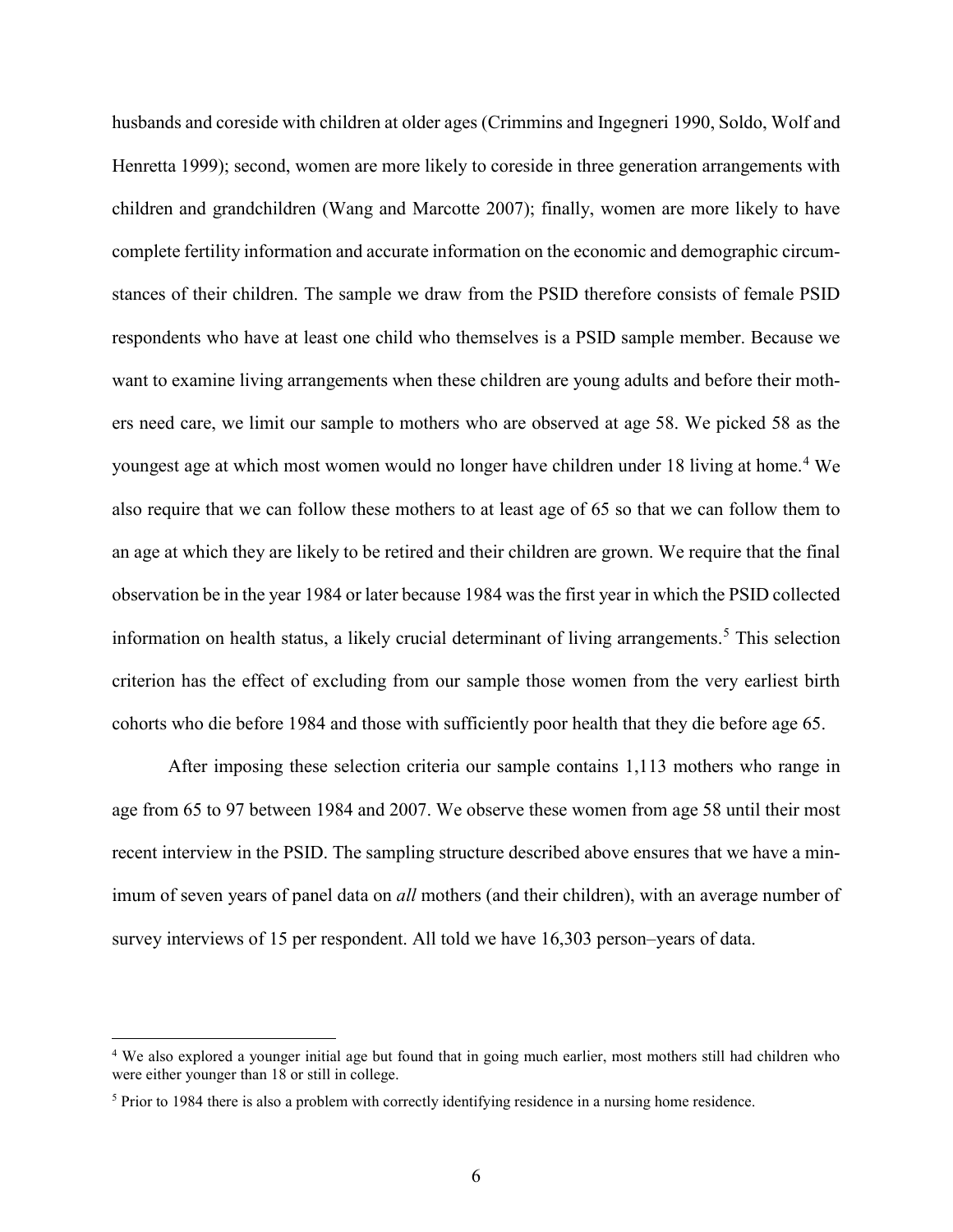husbands and coreside with children at older ages (Crimmins and Ingegneri 1990, Soldo, Wolf and Henretta 1999); second, women are more likely to coreside in three generation arrangements with children and grandchildren (Wang and Marcotte 2007); finally, women are more likely to have complete fertility information and accurate information on the economic and demographic circumstances of their children. The sample we draw from the PSID therefore consists of female PSID respondents who have at least one child who themselves is a PSID sample member. Because we want to examine living arrangements when these children are young adults and before their mothers need care, we limit our sample to mothers who are observed at age 58. We picked 58 as the youngest age at which most women would no longer have children under 18 living at home.<sup>[4](#page-6-0)</sup> We also require that we can follow these mothers to at least age of 65 so that we can follow them to an age at which they are likely to be retired and their children are grown. We require that the final observation be in the year 1984 or later because 1984 was the first year in which the PSID collected information on health status, a likely crucial determinant of living arrangements. [5](#page-6-1) This selection criterion has the effect of excluding from our sample those women from the very earliest birth cohorts who die before 1984 and those with sufficiently poor health that they die before age 65.

After imposing these selection criteria our sample contains 1,113 mothers who range in age from 65 to 97 between 1984 and 2007. We observe these women from age 58 until their most recent interview in the PSID. The sampling structure described above ensures that we have a minimum of seven years of panel data on *all* mothers (and their children), with an average number of survey interviews of 15 per respondent. All told we have 16,303 person–years of data.

<span id="page-6-0"></span> <sup>4</sup> We also explored a younger initial age but found that in going much earlier, most mothers still had children who were either younger than 18 or still in college.

<span id="page-6-1"></span><sup>5</sup> Prior to 1984 there is also a problem with correctly identifying residence in a nursing home residence.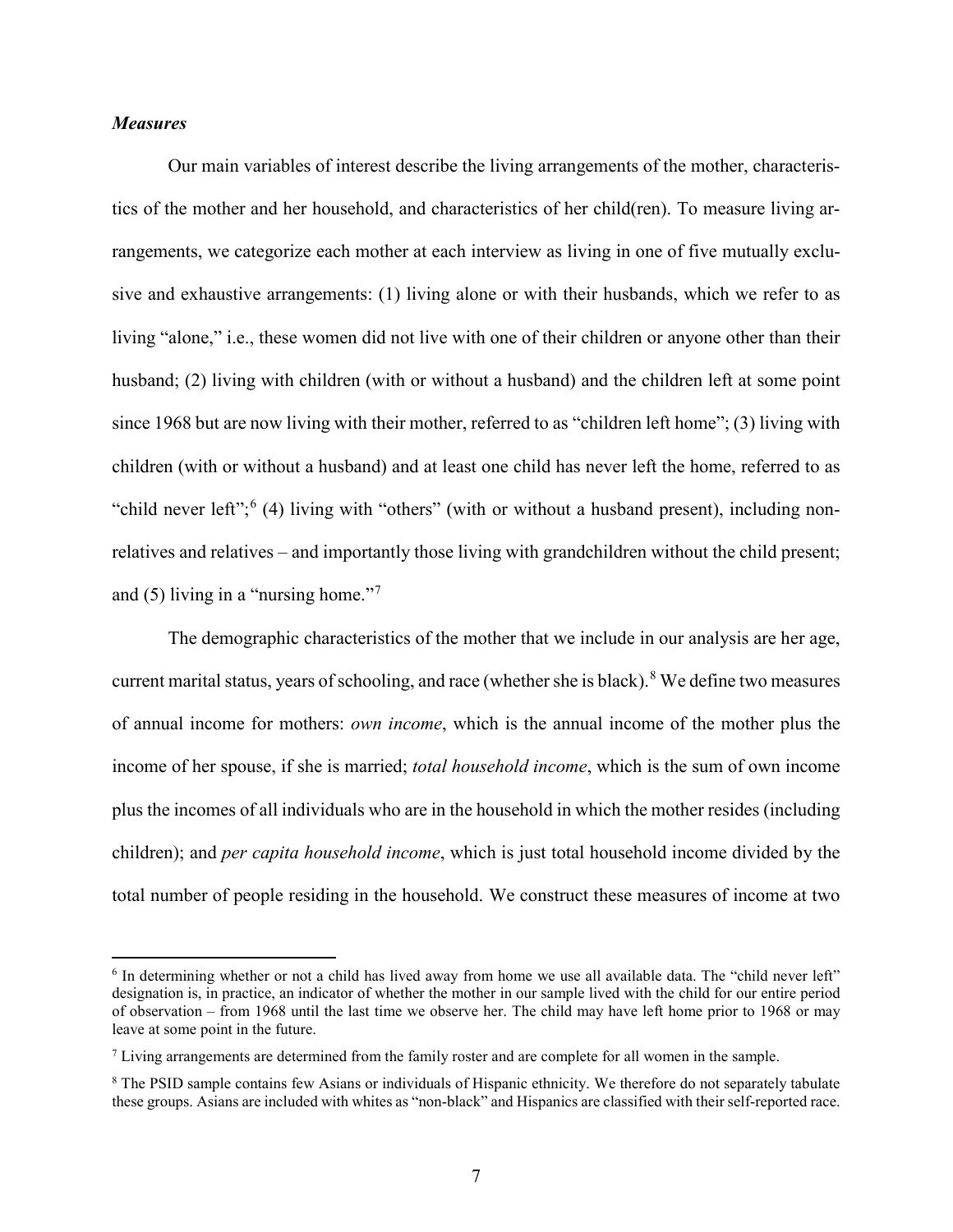#### *Measures*

Our main variables of interest describe the living arrangements of the mother, characteristics of the mother and her household, and characteristics of her child(ren). To measure living arrangements, we categorize each mother at each interview as living in one of five mutually exclusive and exhaustive arrangements: (1) living alone or with their husbands, which we refer to as living "alone," i.e., these women did not live with one of their children or anyone other than their husband; (2) living with children (with or without a husband) and the children left at some point since 1968 but are now living with their mother, referred to as "children left home"; (3) living with children (with or without a husband) and at least one child has never left the home, referred to as "child never left";  $(4)$  living with "others" (with or without a husband present), including nonrelatives and relatives – and importantly those living with grandchildren without the child present; and  $(5)$  living in a "nursing home."<sup>[7](#page-7-1)</sup>

The demographic characteristics of the mother that we include in our analysis are her age, current marital status, years of schooling, and race (whether she is black). [8](#page-7-2) We define two measures of annual income for mothers: *own income*, which is the annual income of the mother plus the income of her spouse, if she is married; *total household income*, which is the sum of own income plus the incomes of all individuals who are in the household in which the mother resides (including children); and *per capita household income*, which is just total household income divided by the total number of people residing in the household. We construct these measures of income at two

<span id="page-7-0"></span><sup>&</sup>lt;sup>6</sup> In determining whether or not a child has lived away from home we use all available data. The "child never left" designation is, in practice, an indicator of whether the mother in our sample lived with the child for our entire period of observation – from 1968 until the last time we observe her. The child may have left home prior to 1968 or may leave at some point in the future.

<span id="page-7-1"></span> $<sup>7</sup>$  Living arrangements are determined from the family roster and are complete for all women in the sample.</sup>

<span id="page-7-2"></span><sup>&</sup>lt;sup>8</sup> The PSID sample contains few Asians or individuals of Hispanic ethnicity. We therefore do not separately tabulate these groups. Asians are included with whites as "non-black" and Hispanics are classified with their self-reported race.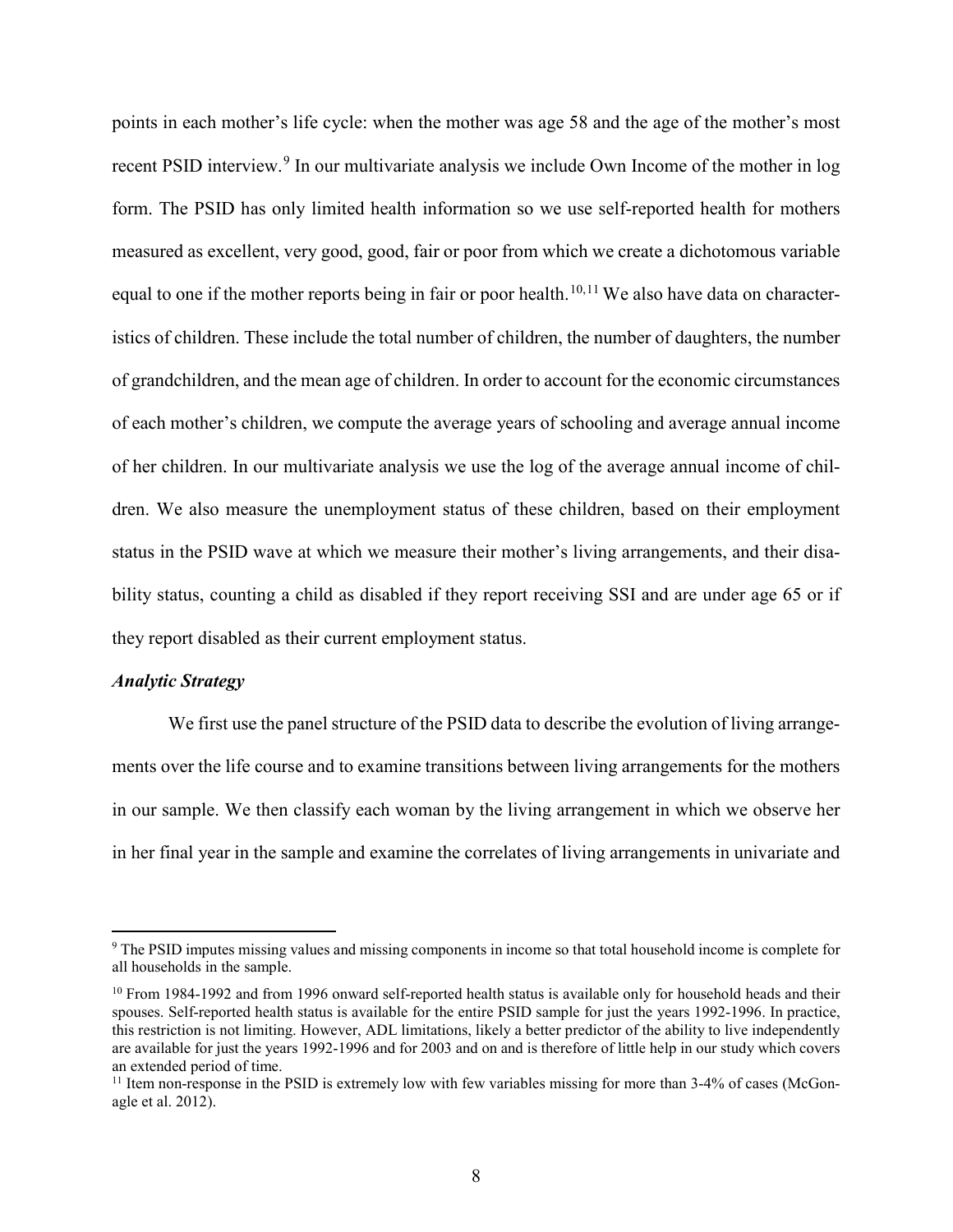points in each mother's life cycle: when the mother was age 58 and the age of the mother's most recent PSID interview.<sup>[9](#page-8-0)</sup> In our multivariate analysis we include Own Income of the mother in log form. The PSID has only limited health information so we use self-reported health for mothers measured as excellent, very good, good, fair or poor from which we create a dichotomous variable equal to one if the mother reports being in fair or poor health.<sup>[10,](#page-8-1)[11](#page-8-2)</sup> We also have data on characteristics of children. These include the total number of children, the number of daughters, the number of grandchildren, and the mean age of children. In order to account for the economic circumstances of each mother's children, we compute the average years of schooling and average annual income of her children. In our multivariate analysis we use the log of the average annual income of children. We also measure the unemployment status of these children, based on their employment status in the PSID wave at which we measure their mother's living arrangements, and their disability status, counting a child as disabled if they report receiving SSI and are under age 65 or if they report disabled as their current employment status.

#### *Analytic Strategy*

We first use the panel structure of the PSID data to describe the evolution of living arrangements over the life course and to examine transitions between living arrangements for the mothers in our sample. We then classify each woman by the living arrangement in which we observe her in her final year in the sample and examine the correlates of living arrangements in univariate and

<span id="page-8-0"></span> <sup>9</sup> The PSID imputes missing values and missing components in income so that total household income is complete for all households in the sample.

<span id="page-8-1"></span><sup>&</sup>lt;sup>10</sup> From 1984-1992 and from 1996 onward self-reported health status is available only for household heads and their spouses. Self-reported health status is available for the entire PSID sample for just the years 1992-1996. In practice, this restriction is not limiting. However, ADL limitations, likely a better predictor of the ability to live independently are available for just the years 1992-1996 and for 2003 and on and is therefore of little help in our study which covers an extended period of time.

<span id="page-8-2"></span> $11$  Item non-response in the PSID is extremely low with few variables missing for more than  $3-4\%$  of cases (McGonagle et al. 2012).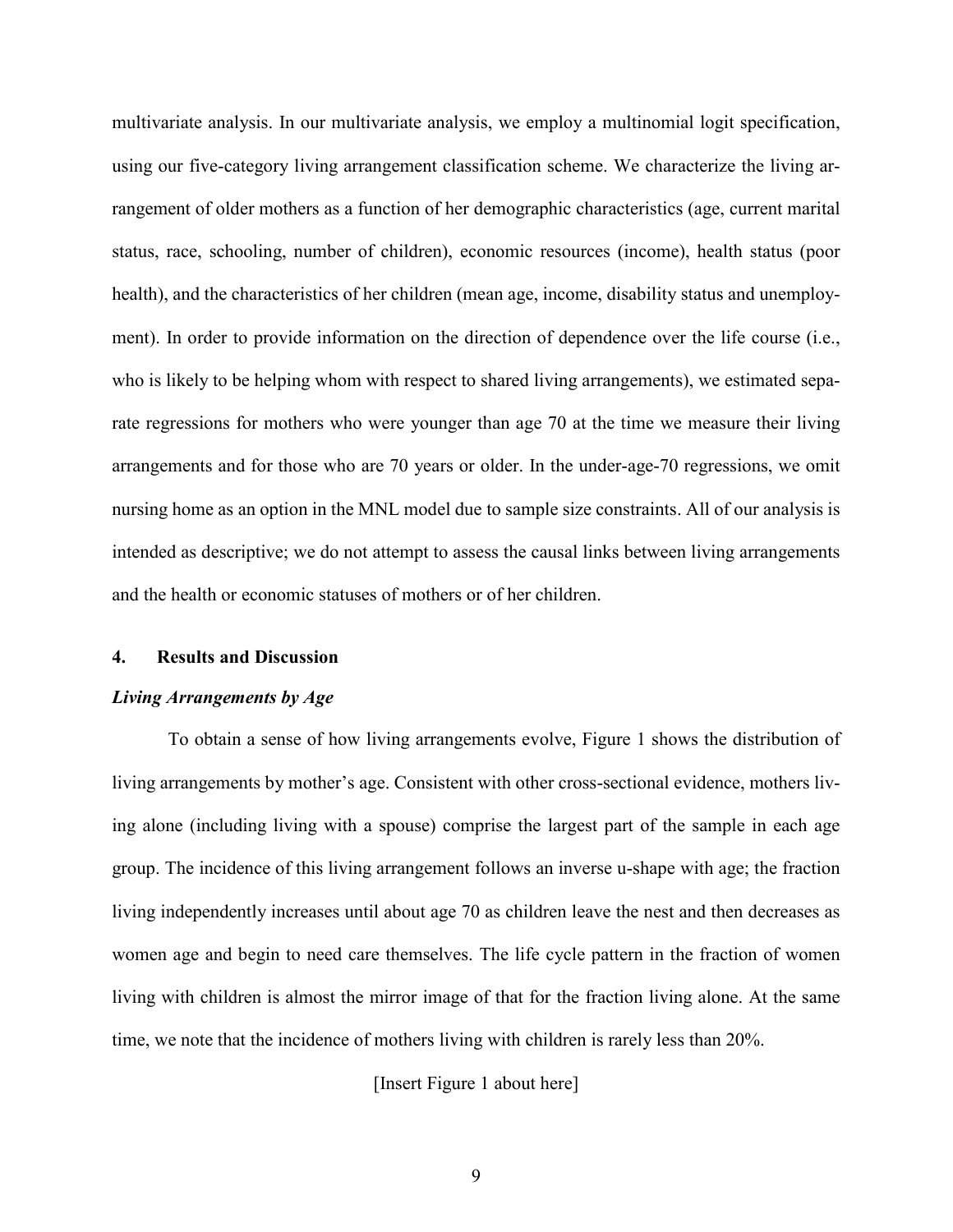multivariate analysis. In our multivariate analysis, we employ a multinomial logit specification, using our five-category living arrangement classification scheme. We characterize the living arrangement of older mothers as a function of her demographic characteristics (age, current marital status, race, schooling, number of children), economic resources (income), health status (poor health), and the characteristics of her children (mean age, income, disability status and unemployment). In order to provide information on the direction of dependence over the life course (i.e., who is likely to be helping whom with respect to shared living arrangements), we estimated separate regressions for mothers who were younger than age 70 at the time we measure their living arrangements and for those who are 70 years or older. In the under-age-70 regressions, we omit nursing home as an option in the MNL model due to sample size constraints. All of our analysis is intended as descriptive; we do not attempt to assess the causal links between living arrangements and the health or economic statuses of mothers or of her children.

#### **4. Results and Discussion**

#### *Living Arrangements by Age*

To obtain a sense of how living arrangements evolve, Figure 1 shows the distribution of living arrangements by mother's age. Consistent with other cross-sectional evidence, mothers living alone (including living with a spouse) comprise the largest part of the sample in each age group. The incidence of this living arrangement follows an inverse u-shape with age; the fraction living independently increases until about age 70 as children leave the nest and then decreases as women age and begin to need care themselves. The life cycle pattern in the fraction of women living with children is almost the mirror image of that for the fraction living alone. At the same time, we note that the incidence of mothers living with children is rarely less than 20%.

[Insert Figure 1 about here]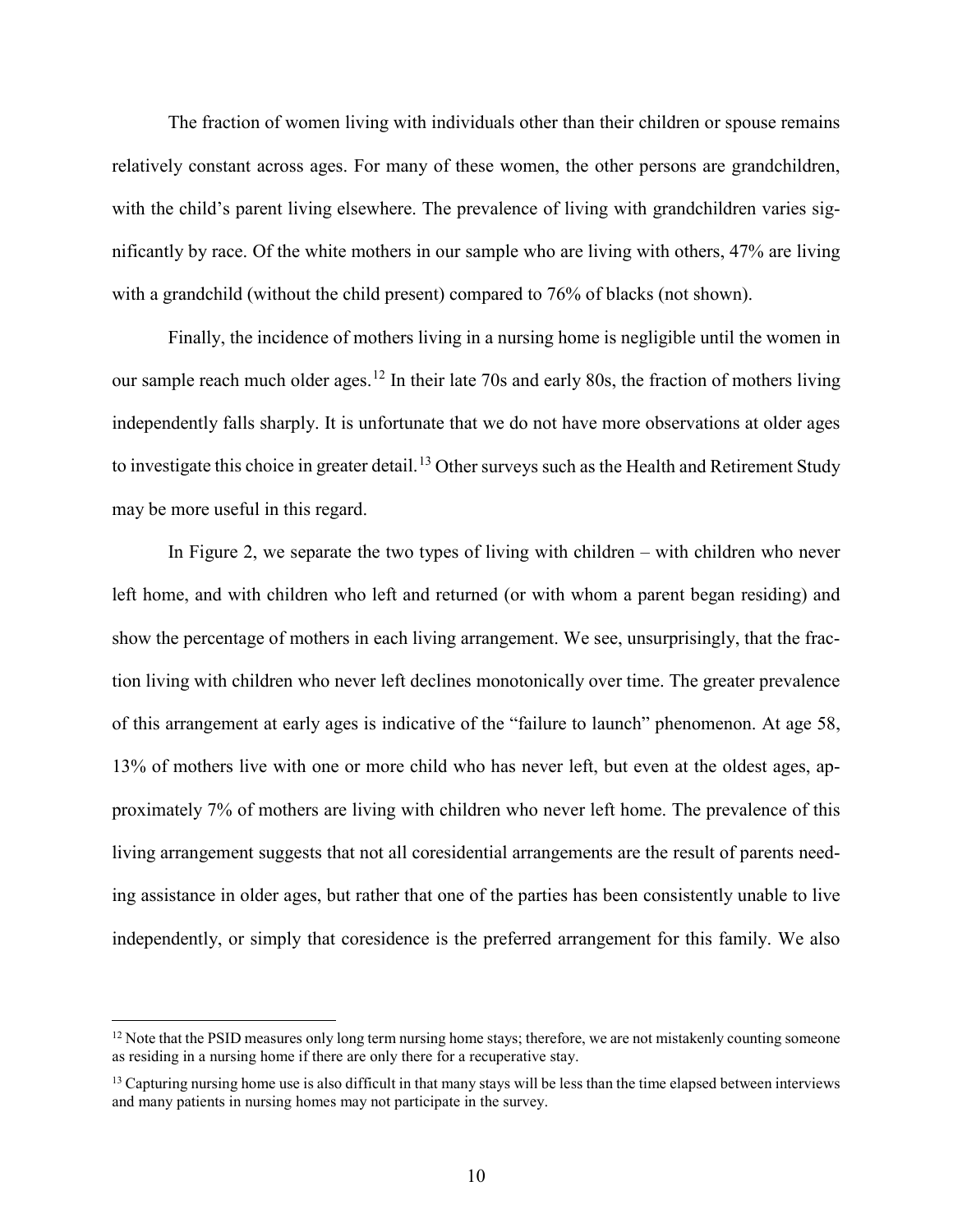The fraction of women living with individuals other than their children or spouse remains relatively constant across ages. For many of these women, the other persons are grandchildren, with the child's parent living elsewhere. The prevalence of living with grandchildren varies significantly by race. Of the white mothers in our sample who are living with others, 47% are living with a grandchild (without the child present) compared to 76% of blacks (not shown).

Finally, the incidence of mothers living in a nursing home is negligible until the women in our sample reach much older ages.<sup>[12](#page-10-0)</sup> In their late 70s and early 80s, the fraction of mothers living independently falls sharply. It is unfortunate that we do not have more observations at older ages to investigate this choice in greater detail.<sup>[13](#page-10-1)</sup> Other surveys such as the Health and Retirement Study may be more useful in this regard.

In Figure 2, we separate the two types of living with children – with children who never left home, and with children who left and returned (or with whom a parent began residing) and show the percentage of mothers in each living arrangement. We see, unsurprisingly, that the fraction living with children who never left declines monotonically over time. The greater prevalence of this arrangement at early ages is indicative of the "failure to launch" phenomenon. At age 58, 13% of mothers live with one or more child who has never left, but even at the oldest ages, approximately 7% of mothers are living with children who never left home. The prevalence of this living arrangement suggests that not all coresidential arrangements are the result of parents needing assistance in older ages, but rather that one of the parties has been consistently unable to live independently, or simply that coresidence is the preferred arrangement for this family. We also

<span id="page-10-0"></span> $12$  Note that the PSID measures only long term nursing home stays; therefore, we are not mistakenly counting someone as residing in a nursing home if there are only there for a recuperative stay.

<span id="page-10-1"></span> $<sup>13</sup>$  Capturing nursing home use is also difficult in that many stays will be less than the time elapsed between interviews</sup> and many patients in nursing homes may not participate in the survey.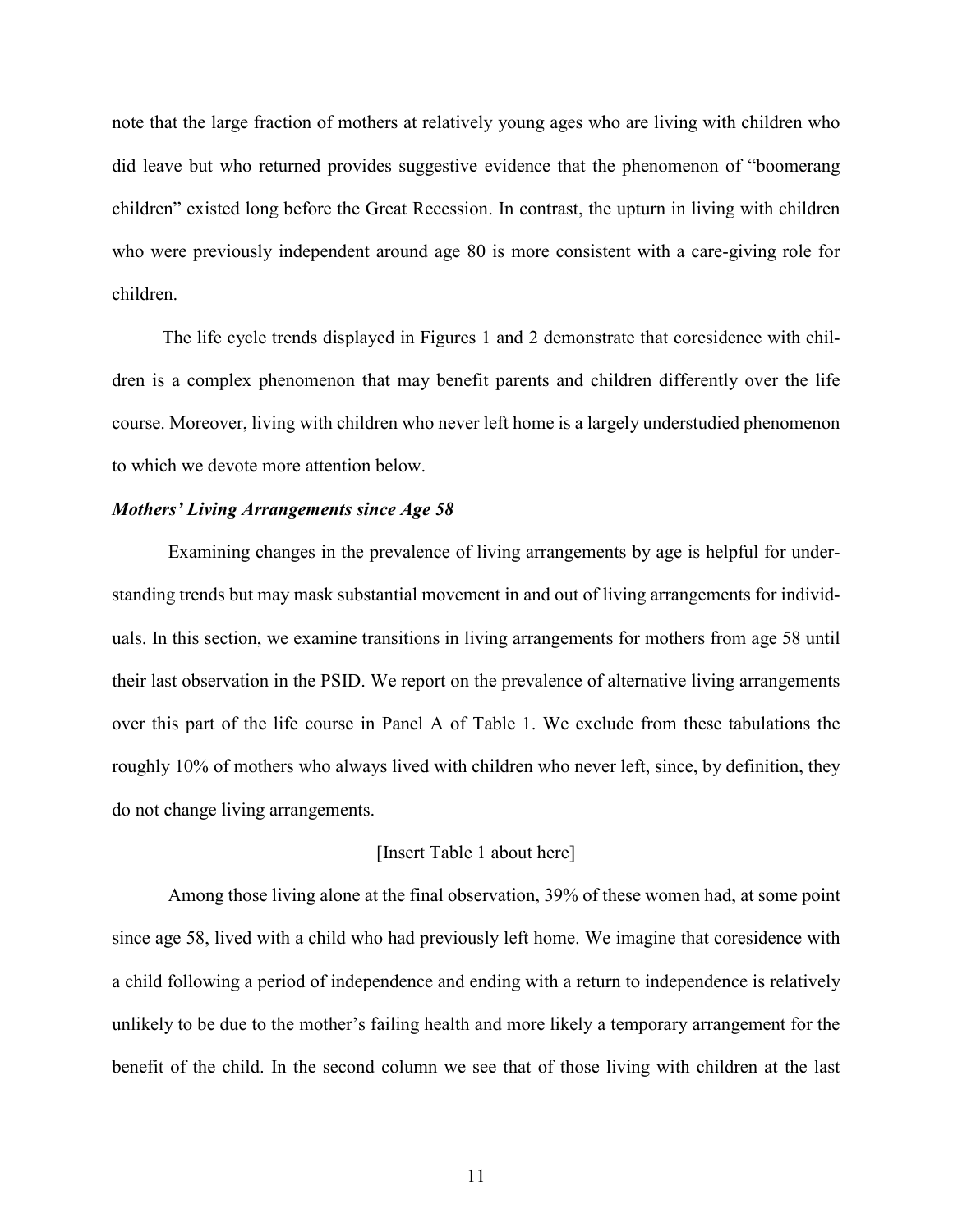note that the large fraction of mothers at relatively young ages who are living with children who did leave but who returned provides suggestive evidence that the phenomenon of "boomerang children" existed long before the Great Recession. In contrast, the upturn in living with children who were previously independent around age 80 is more consistent with a care-giving role for children.

The life cycle trends displayed in Figures 1 and 2 demonstrate that coresidence with children is a complex phenomenon that may benefit parents and children differently over the life course. Moreover, living with children who never left home is a largely understudied phenomenon to which we devote more attention below.

#### *Mothers' Living Arrangements since Age 58*

Examining changes in the prevalence of living arrangements by age is helpful for understanding trends but may mask substantial movement in and out of living arrangements for individuals. In this section, we examine transitions in living arrangements for mothers from age 58 until their last observation in the PSID. We report on the prevalence of alternative living arrangements over this part of the life course in Panel A of Table 1. We exclude from these tabulations the roughly 10% of mothers who always lived with children who never left, since, by definition, they do not change living arrangements.

#### [Insert Table 1 about here]

Among those living alone at the final observation, 39% of these women had, at some point since age 58, lived with a child who had previously left home. We imagine that coresidence with a child following a period of independence and ending with a return to independence is relatively unlikely to be due to the mother's failing health and more likely a temporary arrangement for the benefit of the child. In the second column we see that of those living with children at the last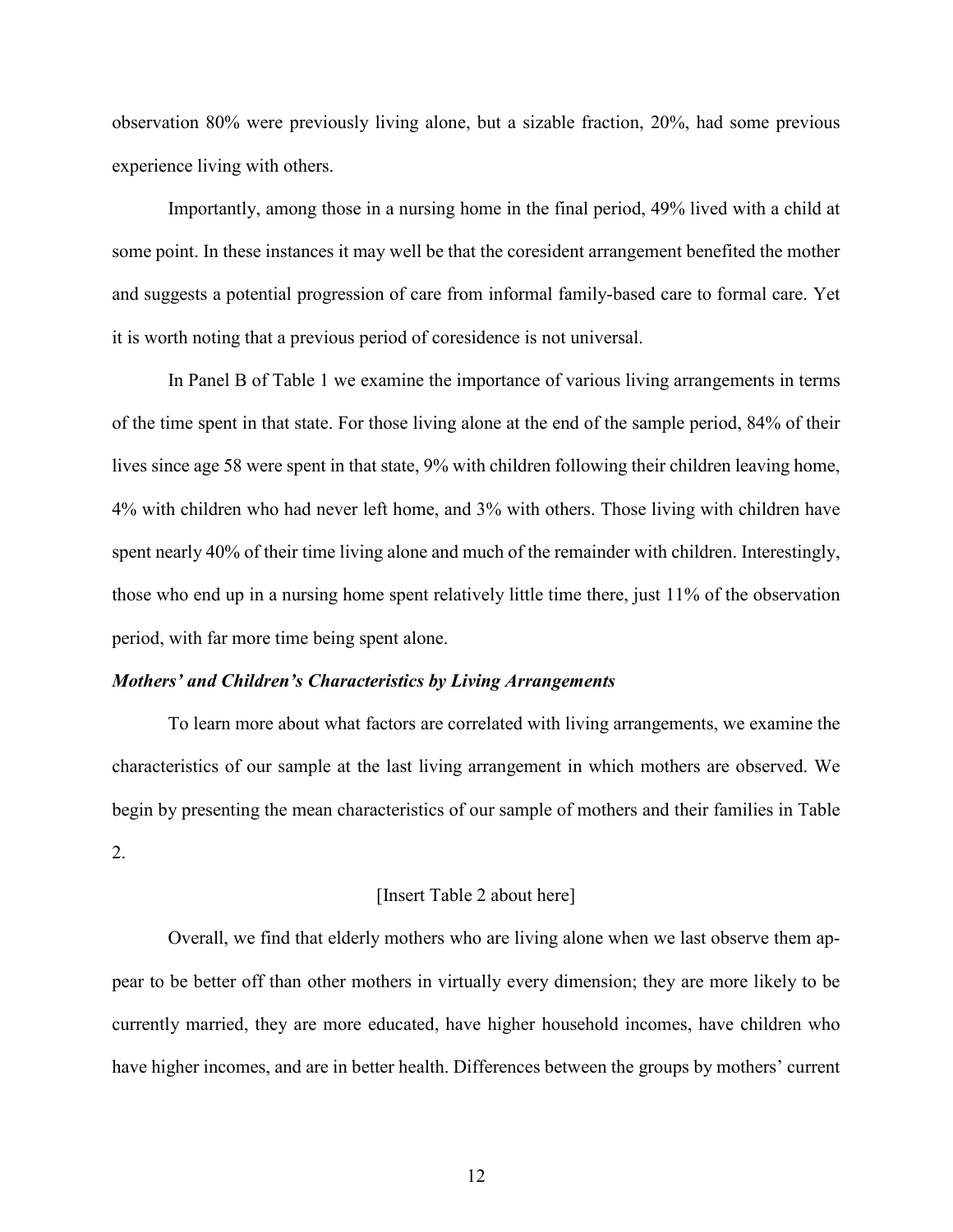observation 80% were previously living alone, but a sizable fraction, 20%, had some previous experience living with others.

Importantly, among those in a nursing home in the final period, 49% lived with a child at some point. In these instances it may well be that the coresident arrangement benefited the mother and suggests a potential progression of care from informal family-based care to formal care. Yet it is worth noting that a previous period of coresidence is not universal.

In Panel B of Table 1 we examine the importance of various living arrangements in terms of the time spent in that state. For those living alone at the end of the sample period, 84% of their lives since age 58 were spent in that state, 9% with children following their children leaving home, 4% with children who had never left home, and 3% with others. Those living with children have spent nearly 40% of their time living alone and much of the remainder with children. Interestingly, those who end up in a nursing home spent relatively little time there, just 11% of the observation period, with far more time being spent alone.

#### *Mothers' and Children's Characteristics by Living Arrangements*

To learn more about what factors are correlated with living arrangements, we examine the characteristics of our sample at the last living arrangement in which mothers are observed. We begin by presenting the mean characteristics of our sample of mothers and their families in Table 2.

#### [Insert Table 2 about here]

Overall, we find that elderly mothers who are living alone when we last observe them appear to be better off than other mothers in virtually every dimension; they are more likely to be currently married, they are more educated, have higher household incomes, have children who have higher incomes, and are in better health. Differences between the groups by mothers' current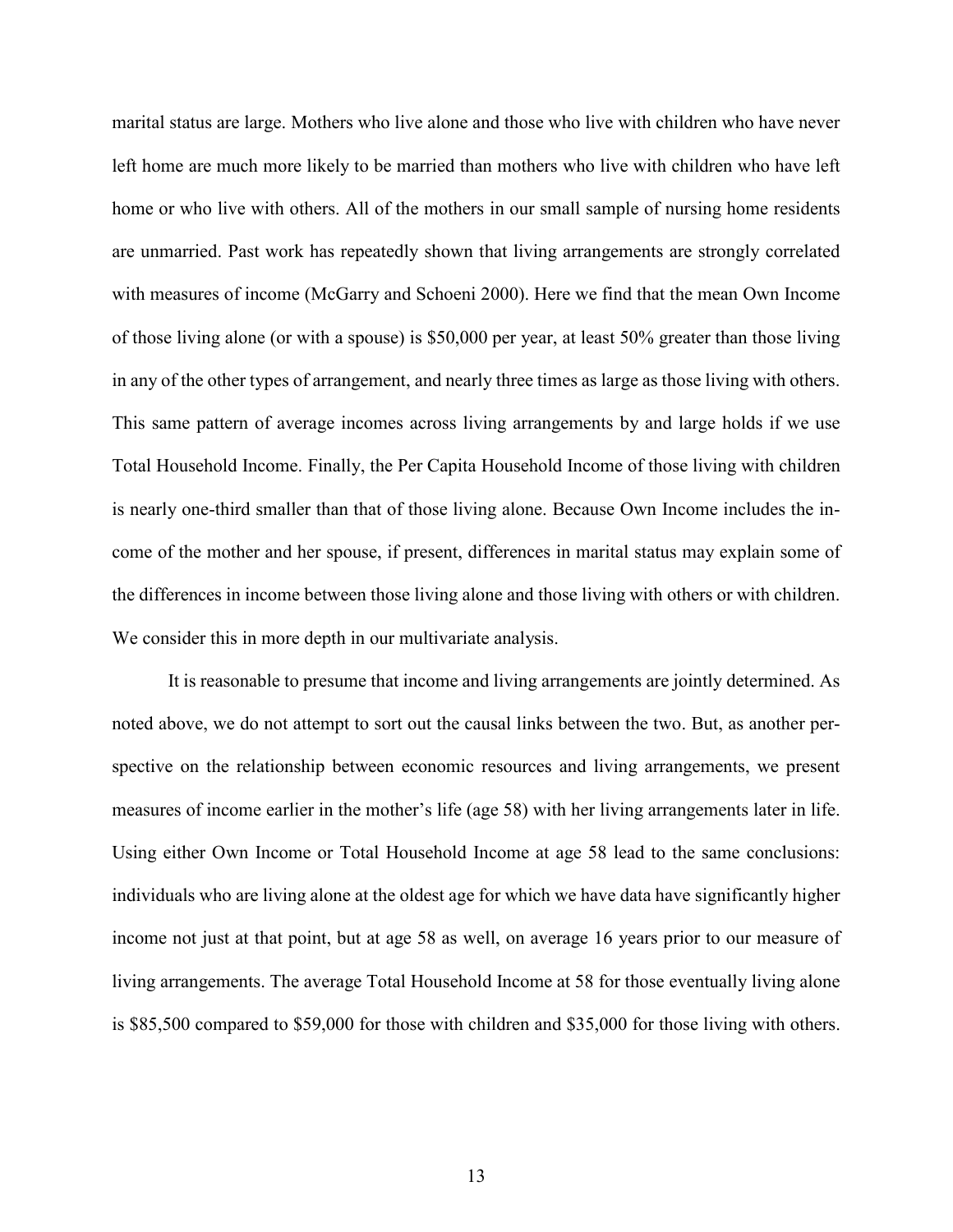marital status are large. Mothers who live alone and those who live with children who have never left home are much more likely to be married than mothers who live with children who have left home or who live with others. All of the mothers in our small sample of nursing home residents are unmarried. Past work has repeatedly shown that living arrangements are strongly correlated with measures of income (McGarry and Schoeni 2000). Here we find that the mean Own Income of those living alone (or with a spouse) is \$50,000 per year, at least 50% greater than those living in any of the other types of arrangement, and nearly three times as large as those living with others. This same pattern of average incomes across living arrangements by and large holds if we use Total Household Income. Finally, the Per Capita Household Income of those living with children is nearly one-third smaller than that of those living alone. Because Own Income includes the income of the mother and her spouse, if present, differences in marital status may explain some of the differences in income between those living alone and those living with others or with children. We consider this in more depth in our multivariate analysis.

It is reasonable to presume that income and living arrangements are jointly determined. As noted above, we do not attempt to sort out the causal links between the two. But, as another perspective on the relationship between economic resources and living arrangements, we present measures of income earlier in the mother's life (age 58) with her living arrangements later in life. Using either Own Income or Total Household Income at age 58 lead to the same conclusions: individuals who are living alone at the oldest age for which we have data have significantly higher income not just at that point, but at age 58 as well, on average 16 years prior to our measure of living arrangements. The average Total Household Income at 58 for those eventually living alone is \$85,500 compared to \$59,000 for those with children and \$35,000 for those living with others.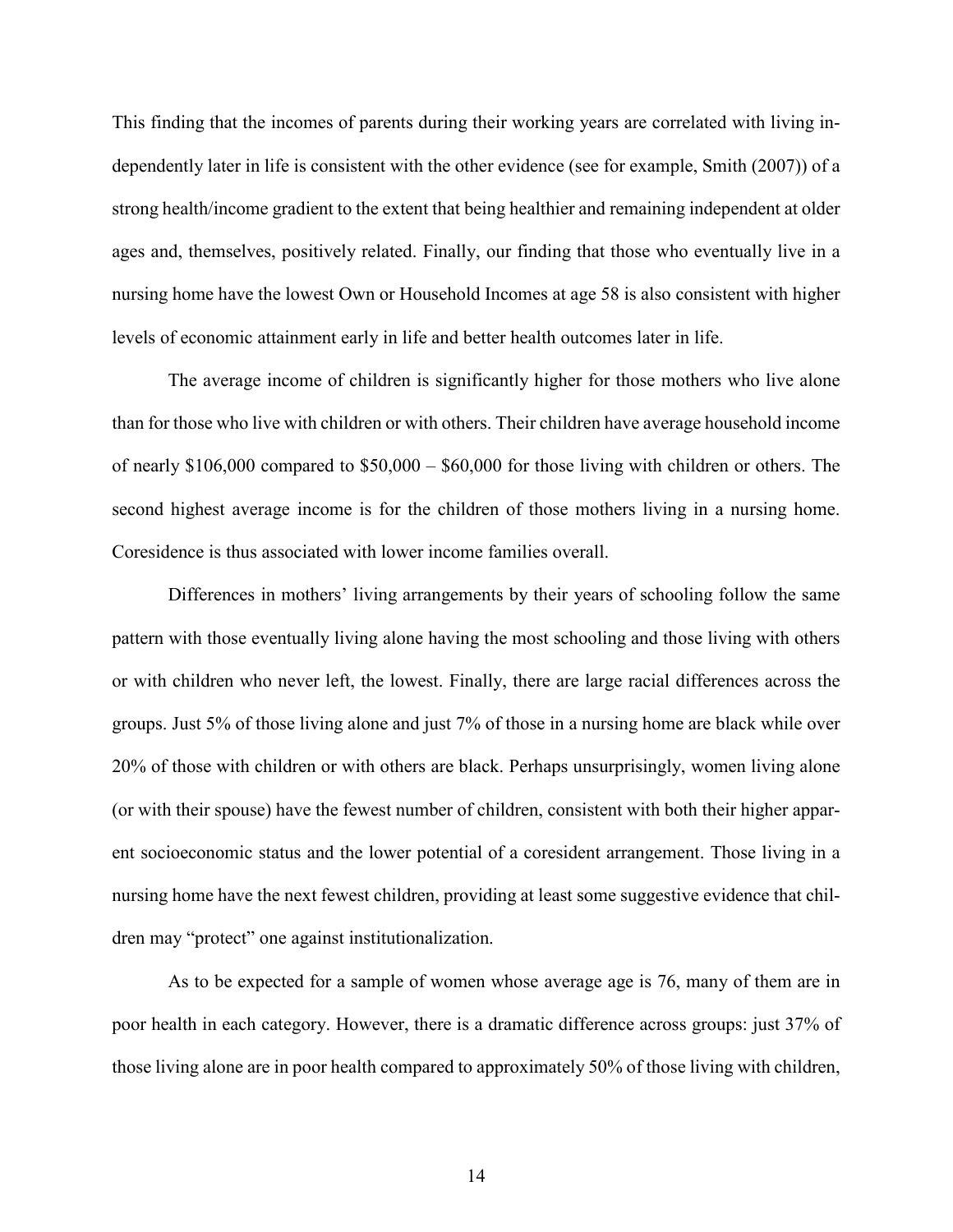This finding that the incomes of parents during their working years are correlated with living independently later in life is consistent with the other evidence (see for example, Smith (2007)) of a strong health/income gradient to the extent that being healthier and remaining independent at older ages and, themselves, positively related. Finally, our finding that those who eventually live in a nursing home have the lowest Own or Household Incomes at age 58 is also consistent with higher levels of economic attainment early in life and better health outcomes later in life.

The average income of children is significantly higher for those mothers who live alone than for those who live with children or with others. Their children have average household income of nearly \$106,000 compared to \$50,000 – \$60,000 for those living with children or others. The second highest average income is for the children of those mothers living in a nursing home. Coresidence is thus associated with lower income families overall.

Differences in mothers' living arrangements by their years of schooling follow the same pattern with those eventually living alone having the most schooling and those living with others or with children who never left, the lowest. Finally, there are large racial differences across the groups. Just 5% of those living alone and just 7% of those in a nursing home are black while over 20% of those with children or with others are black. Perhaps unsurprisingly, women living alone (or with their spouse) have the fewest number of children, consistent with both their higher apparent socioeconomic status and the lower potential of a coresident arrangement. Those living in a nursing home have the next fewest children, providing at least some suggestive evidence that children may "protect" one against institutionalization.

As to be expected for a sample of women whose average age is 76, many of them are in poor health in each category. However, there is a dramatic difference across groups: just 37% of those living alone are in poor health compared to approximately 50% of those living with children,

14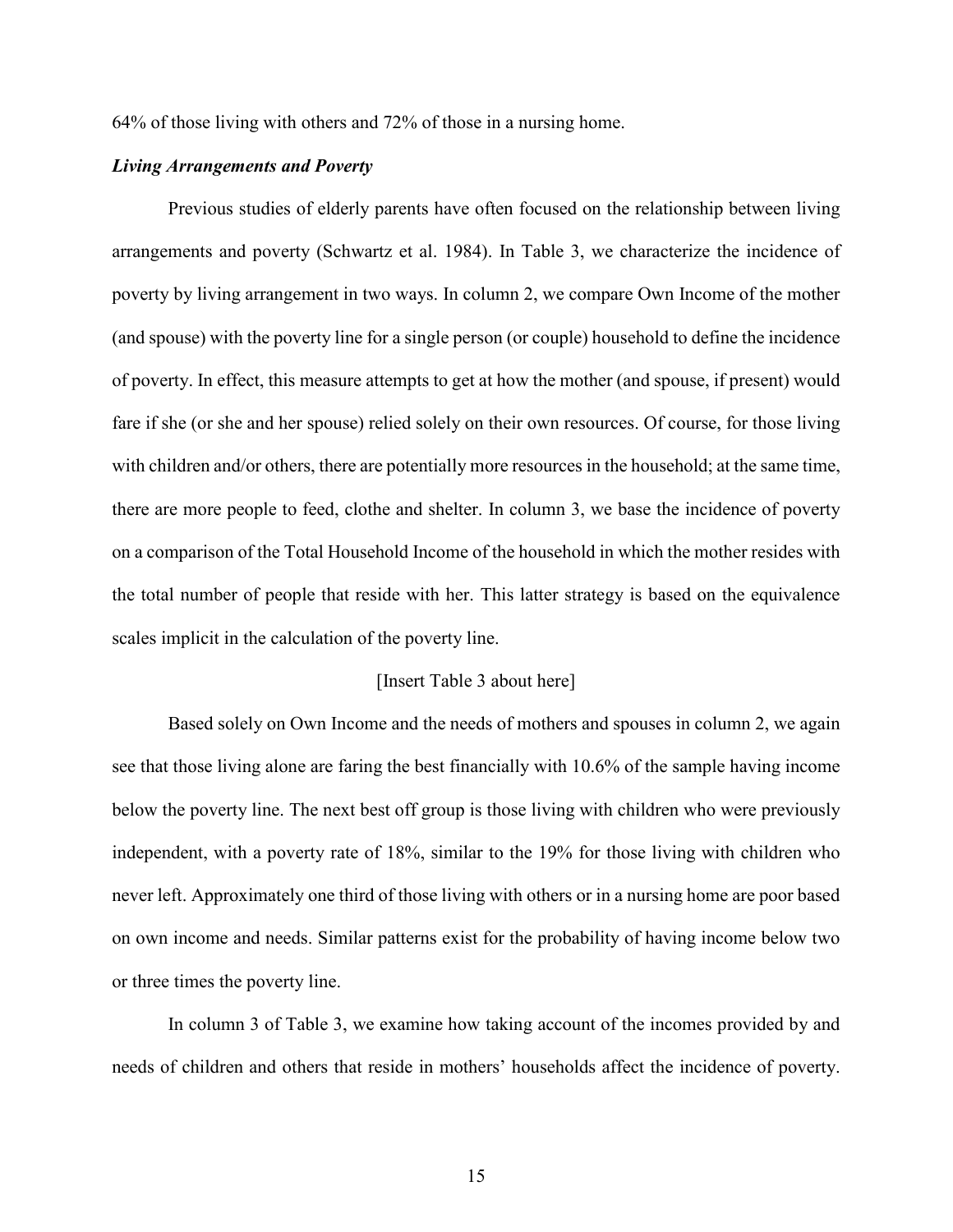64% of those living with others and 72% of those in a nursing home.

#### *Living Arrangements and Poverty*

Previous studies of elderly parents have often focused on the relationship between living arrangements and poverty (Schwartz et al. 1984). In Table 3, we characterize the incidence of poverty by living arrangement in two ways. In column 2, we compare Own Income of the mother (and spouse) with the poverty line for a single person (or couple) household to define the incidence of poverty. In effect, this measure attempts to get at how the mother (and spouse, if present) would fare if she (or she and her spouse) relied solely on their own resources. Of course, for those living with children and/or others, there are potentially more resources in the household; at the same time, there are more people to feed, clothe and shelter. In column 3, we base the incidence of poverty on a comparison of the Total Household Income of the household in which the mother resides with the total number of people that reside with her. This latter strategy is based on the equivalence scales implicit in the calculation of the poverty line.

#### [Insert Table 3 about here]

Based solely on Own Income and the needs of mothers and spouses in column 2, we again see that those living alone are faring the best financially with 10.6% of the sample having income below the poverty line. The next best off group is those living with children who were previously independent, with a poverty rate of 18%, similar to the 19% for those living with children who never left. Approximately one third of those living with others or in a nursing home are poor based on own income and needs. Similar patterns exist for the probability of having income below two or three times the poverty line.

In column 3 of Table 3, we examine how taking account of the incomes provided by and needs of children and others that reside in mothers' households affect the incidence of poverty.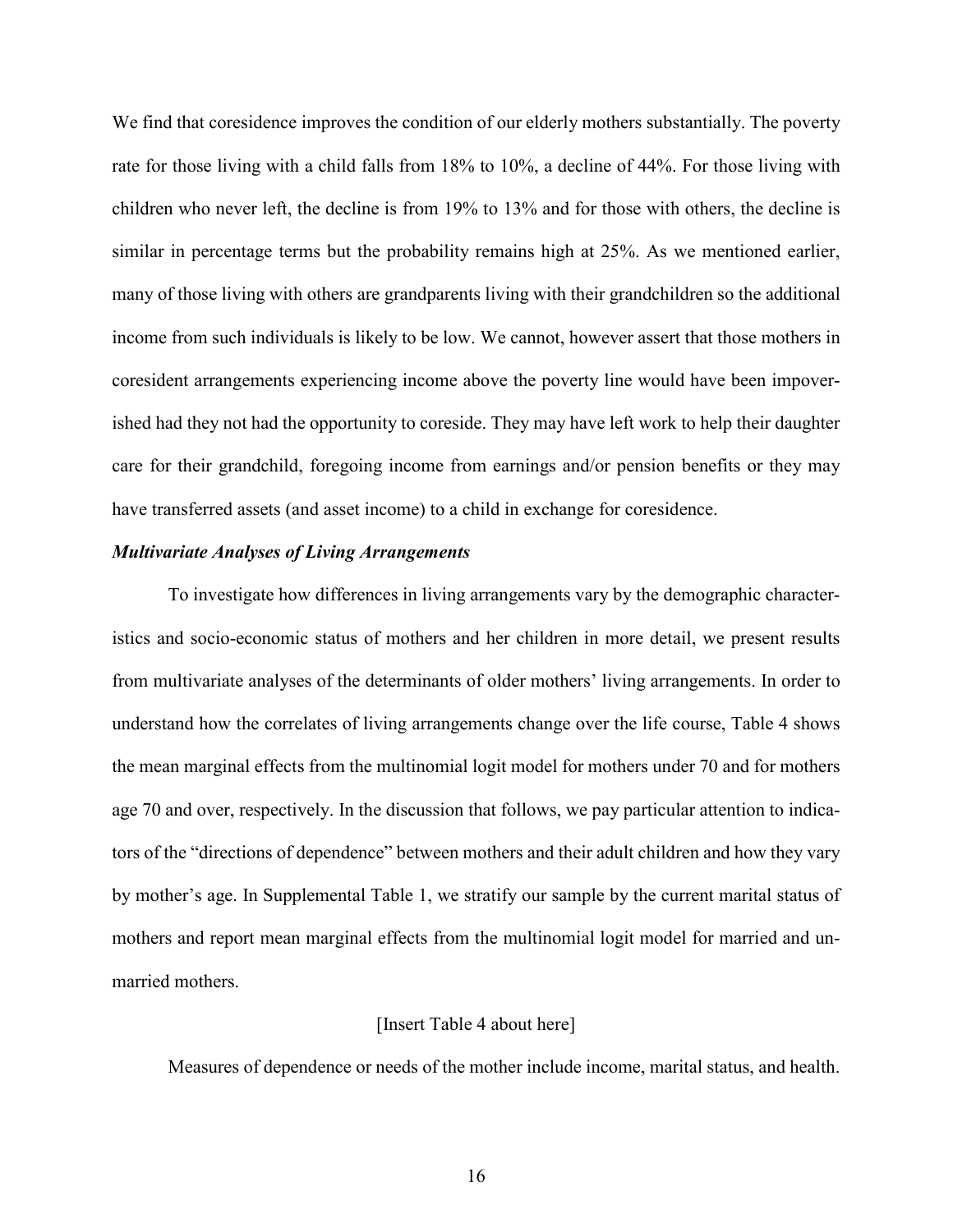We find that coresidence improves the condition of our elderly mothers substantially. The poverty rate for those living with a child falls from 18% to 10%, a decline of 44%. For those living with children who never left, the decline is from 19% to 13% and for those with others, the decline is similar in percentage terms but the probability remains high at 25%. As we mentioned earlier, many of those living with others are grandparents living with their grandchildren so the additional income from such individuals is likely to be low. We cannot, however assert that those mothers in coresident arrangements experiencing income above the poverty line would have been impoverished had they not had the opportunity to coreside. They may have left work to help their daughter care for their grandchild, foregoing income from earnings and/or pension benefits or they may have transferred assets (and asset income) to a child in exchange for coresidence.

#### *Multivariate Analyses of Living Arrangements*

To investigate how differences in living arrangements vary by the demographic characteristics and socio-economic status of mothers and her children in more detail, we present results from multivariate analyses of the determinants of older mothers' living arrangements. In order to understand how the correlates of living arrangements change over the life course, Table 4 shows the mean marginal effects from the multinomial logit model for mothers under 70 and for mothers age 70 and over, respectively. In the discussion that follows, we pay particular attention to indicators of the "directions of dependence" between mothers and their adult children and how they vary by mother's age. In Supplemental Table 1, we stratify our sample by the current marital status of mothers and report mean marginal effects from the multinomial logit model for married and unmarried mothers.

#### [Insert Table 4 about here]

Measures of dependence or needs of the mother include income, marital status, and health.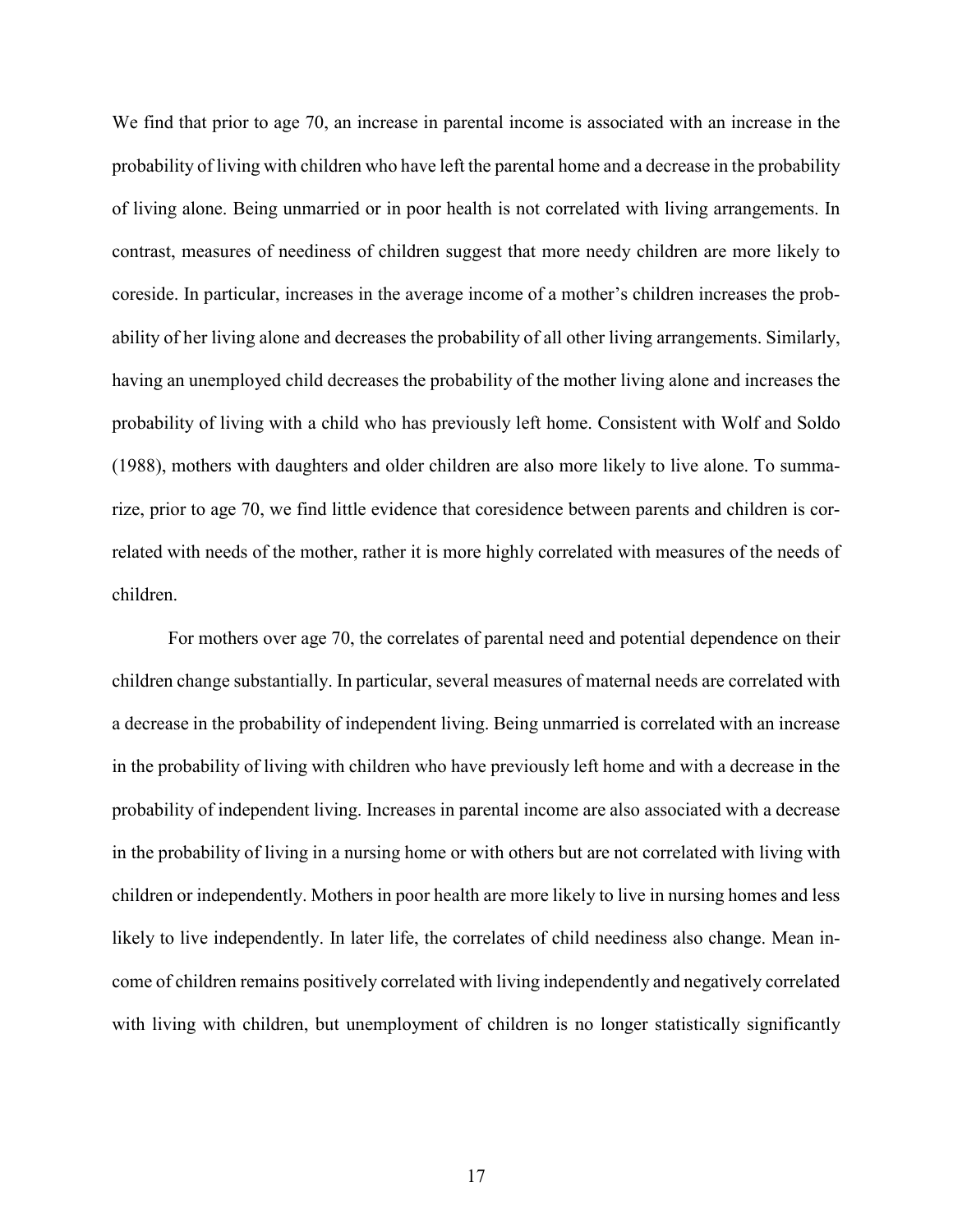We find that prior to age 70, an increase in parental income is associated with an increase in the probability of living with children who have left the parental home and a decrease in the probability of living alone. Being unmarried or in poor health is not correlated with living arrangements. In contrast, measures of neediness of children suggest that more needy children are more likely to coreside. In particular, increases in the average income of a mother's children increases the probability of her living alone and decreases the probability of all other living arrangements. Similarly, having an unemployed child decreases the probability of the mother living alone and increases the probability of living with a child who has previously left home. Consistent with Wolf and Soldo (1988), mothers with daughters and older children are also more likely to live alone. To summarize, prior to age 70, we find little evidence that coresidence between parents and children is correlated with needs of the mother, rather it is more highly correlated with measures of the needs of children.

For mothers over age 70, the correlates of parental need and potential dependence on their children change substantially. In particular, several measures of maternal needs are correlated with a decrease in the probability of independent living. Being unmarried is correlated with an increase in the probability of living with children who have previously left home and with a decrease in the probability of independent living. Increases in parental income are also associated with a decrease in the probability of living in a nursing home or with others but are not correlated with living with children or independently. Mothers in poor health are more likely to live in nursing homes and less likely to live independently. In later life, the correlates of child neediness also change. Mean income of children remains positively correlated with living independently and negatively correlated with living with children, but unemployment of children is no longer statistically significantly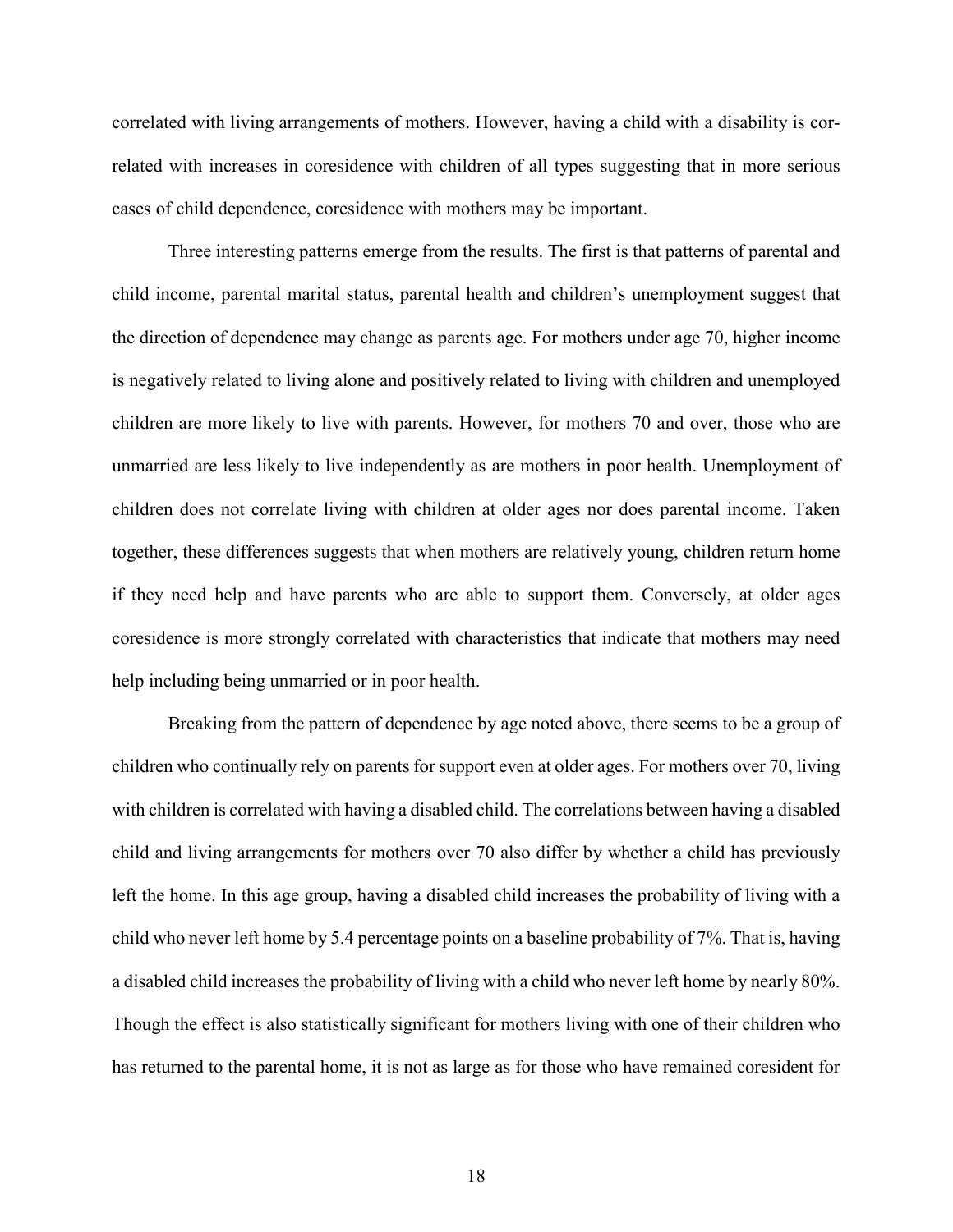correlated with living arrangements of mothers. However, having a child with a disability is correlated with increases in coresidence with children of all types suggesting that in more serious cases of child dependence, coresidence with mothers may be important.

Three interesting patterns emerge from the results. The first is that patterns of parental and child income, parental marital status, parental health and children's unemployment suggest that the direction of dependence may change as parents age. For mothers under age 70, higher income is negatively related to living alone and positively related to living with children and unemployed children are more likely to live with parents. However, for mothers 70 and over, those who are unmarried are less likely to live independently as are mothers in poor health. Unemployment of children does not correlate living with children at older ages nor does parental income. Taken together, these differences suggests that when mothers are relatively young, children return home if they need help and have parents who are able to support them. Conversely, at older ages coresidence is more strongly correlated with characteristics that indicate that mothers may need help including being unmarried or in poor health.

Breaking from the pattern of dependence by age noted above, there seems to be a group of children who continually rely on parents for support even at older ages. For mothers over 70, living with children is correlated with having a disabled child. The correlations between having a disabled child and living arrangements for mothers over 70 also differ by whether a child has previously left the home. In this age group, having a disabled child increases the probability of living with a child who never left home by 5.4 percentage points on a baseline probability of 7%. That is, having a disabled child increases the probability of living with a child who never left home by nearly 80%. Though the effect is also statistically significant for mothers living with one of their children who has returned to the parental home, it is not as large as for those who have remained coresident for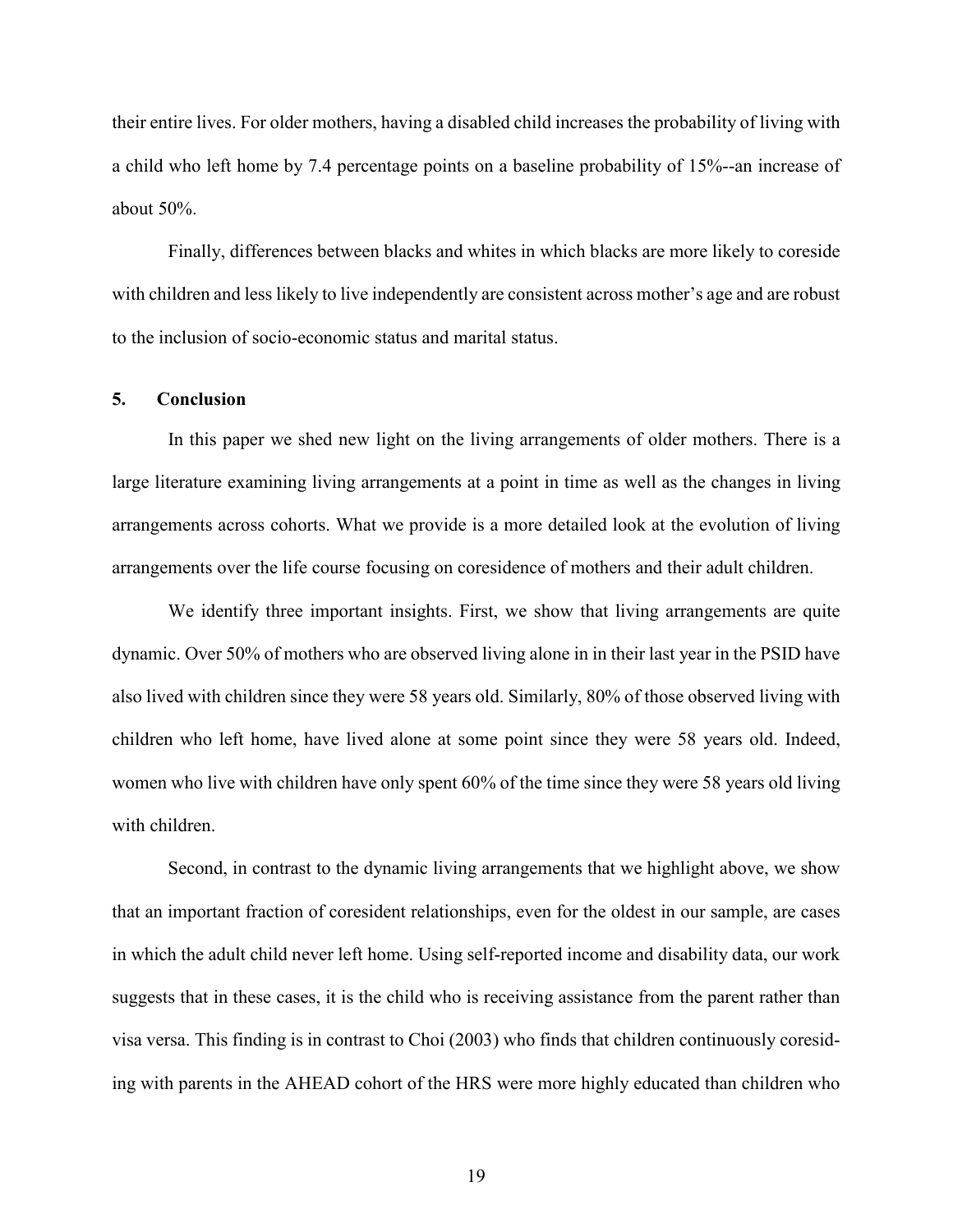their entire lives. For older mothers, having a disabled child increases the probability of living with a child who left home by 7.4 percentage points on a baseline probability of 15%--an increase of about 50%.

Finally, differences between blacks and whites in which blacks are more likely to coreside with children and less likely to live independently are consistent across mother's age and are robust to the inclusion of socio-economic status and marital status.

#### **5. Conclusion**

In this paper we shed new light on the living arrangements of older mothers. There is a large literature examining living arrangements at a point in time as well as the changes in living arrangements across cohorts. What we provide is a more detailed look at the evolution of living arrangements over the life course focusing on coresidence of mothers and their adult children.

We identify three important insights. First, we show that living arrangements are quite dynamic. Over 50% of mothers who are observed living alone in in their last year in the PSID have also lived with children since they were 58 years old. Similarly, 80% of those observed living with children who left home, have lived alone at some point since they were 58 years old. Indeed, women who live with children have only spent 60% of the time since they were 58 years old living with children.

Second, in contrast to the dynamic living arrangements that we highlight above, we show that an important fraction of coresident relationships, even for the oldest in our sample, are cases in which the adult child never left home. Using self-reported income and disability data, our work suggests that in these cases, it is the child who is receiving assistance from the parent rather than visa versa. This finding is in contrast to Choi (2003) who finds that children continuously coresiding with parents in the AHEAD cohort of the HRS were more highly educated than children who

19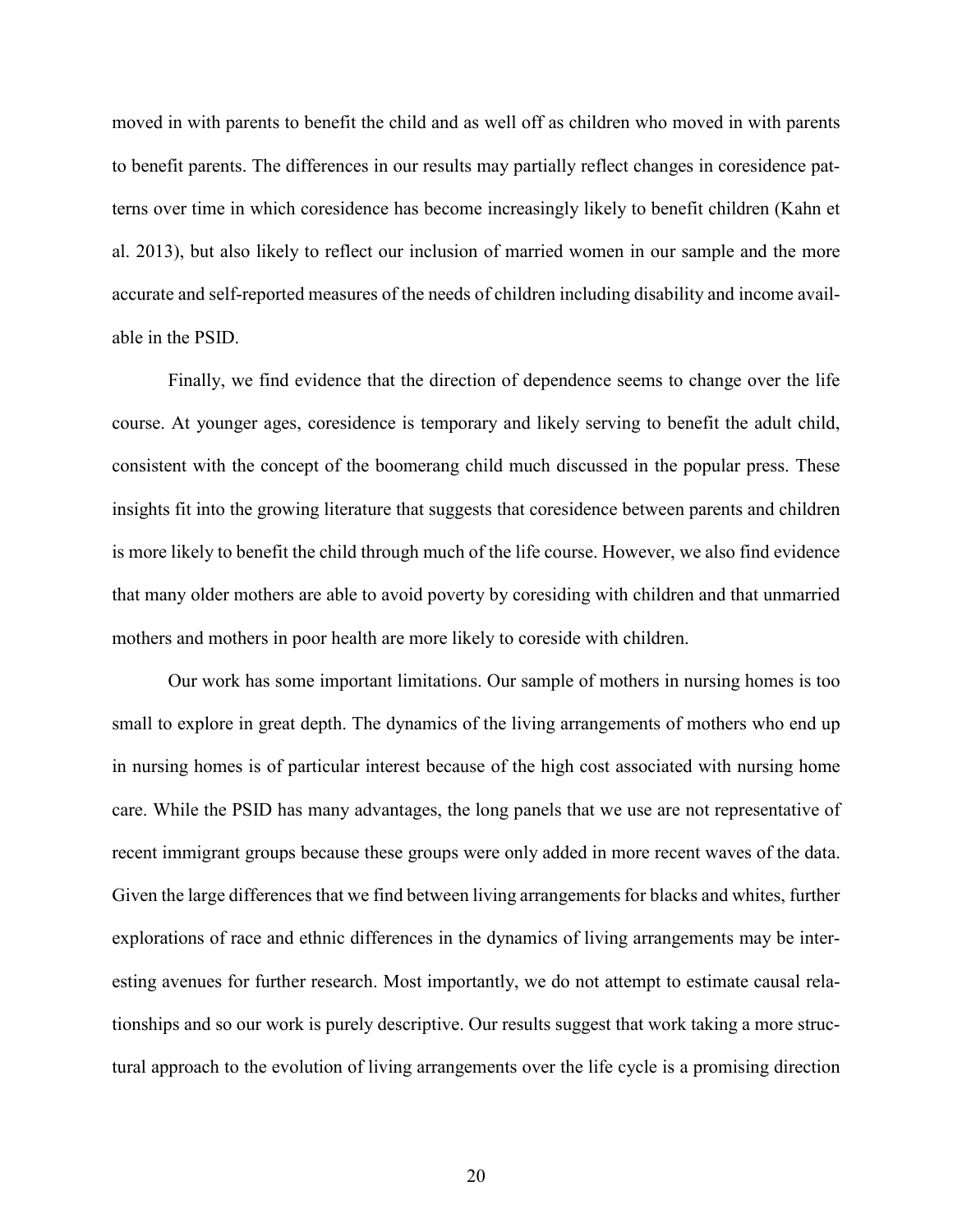moved in with parents to benefit the child and as well off as children who moved in with parents to benefit parents. The differences in our results may partially reflect changes in coresidence patterns over time in which coresidence has become increasingly likely to benefit children (Kahn et al. 2013), but also likely to reflect our inclusion of married women in our sample and the more accurate and self-reported measures of the needs of children including disability and income available in the PSID.

Finally, we find evidence that the direction of dependence seems to change over the life course. At younger ages, coresidence is temporary and likely serving to benefit the adult child, consistent with the concept of the boomerang child much discussed in the popular press. These insights fit into the growing literature that suggests that coresidence between parents and children is more likely to benefit the child through much of the life course. However, we also find evidence that many older mothers are able to avoid poverty by coresiding with children and that unmarried mothers and mothers in poor health are more likely to coreside with children.

Our work has some important limitations. Our sample of mothers in nursing homes is too small to explore in great depth. The dynamics of the living arrangements of mothers who end up in nursing homes is of particular interest because of the high cost associated with nursing home care. While the PSID has many advantages, the long panels that we use are not representative of recent immigrant groups because these groups were only added in more recent waves of the data. Given the large differences that we find between living arrangements for blacks and whites, further explorations of race and ethnic differences in the dynamics of living arrangements may be interesting avenues for further research. Most importantly, we do not attempt to estimate causal relationships and so our work is purely descriptive. Our results suggest that work taking a more structural approach to the evolution of living arrangements over the life cycle is a promising direction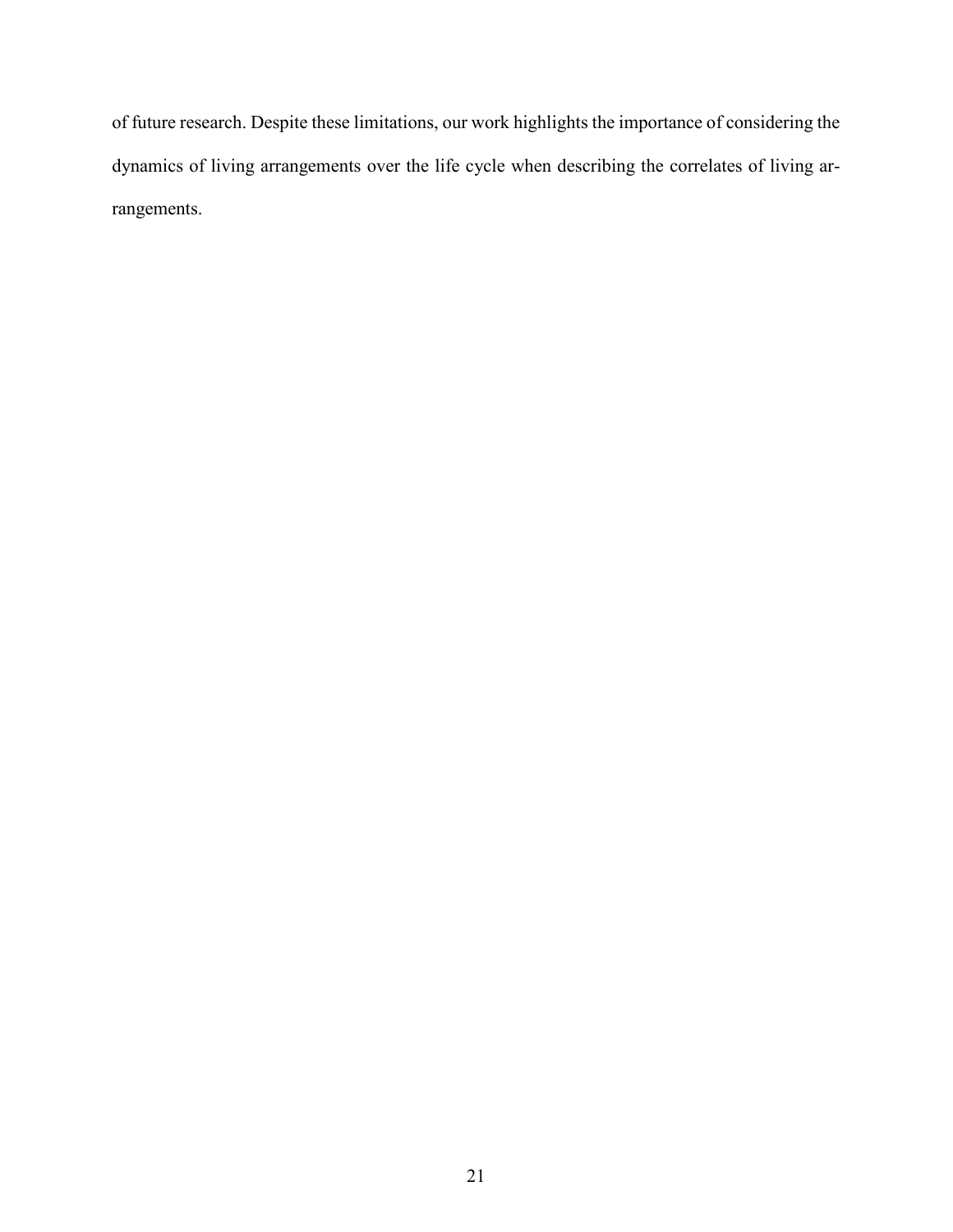of future research. Despite these limitations, our work highlights the importance of considering the dynamics of living arrangements over the life cycle when describing the correlates of living arrangements.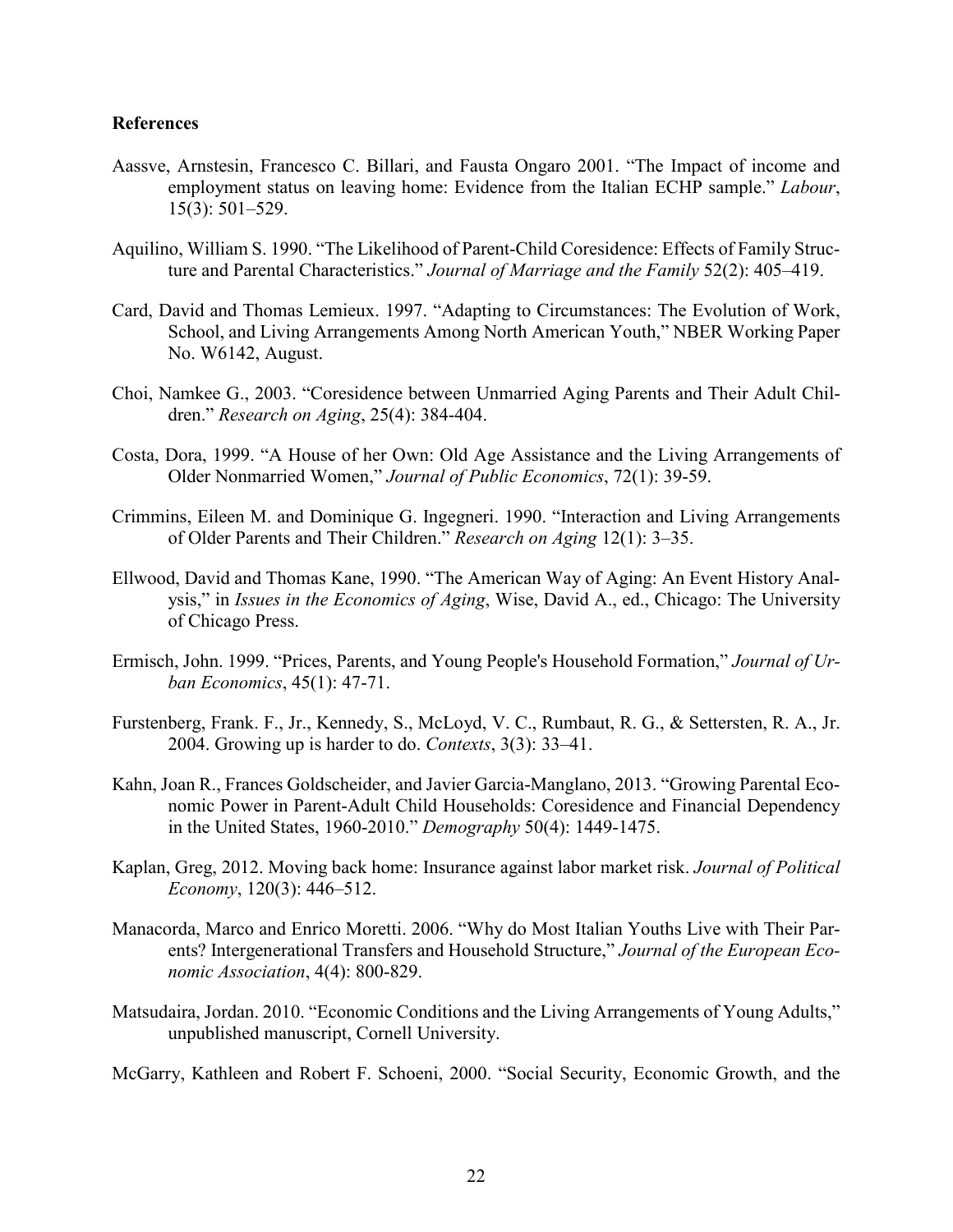#### **References**

- Aassve, Arnstesin, Francesco C. Billari, and Fausta Ongaro 2001. "The Impact of income and employment status on leaving home: Evidence from the Italian ECHP sample." *Labour*, 15(3): 501–529.
- Aquilino, William S. 1990. "The Likelihood of Parent-Child Coresidence: Effects of Family Structure and Parental Characteristics." *Journal of Marriage and the Family* 52(2): 405–419.
- Card, David and Thomas Lemieux. 1997. "Adapting to Circumstances: The Evolution of Work, School, and Living Arrangements Among North American Youth," NBER Working Paper No. W6142, August.
- Choi, Namkee G., 2003. "Coresidence between Unmarried Aging Parents and Their Adult Children." *Research on Aging*, 25(4): 384-404.
- Costa, Dora, 1999. "A House of her Own: Old Age Assistance and the Living Arrangements of Older Nonmarried Women," *Journal of Public Economics*, 72(1): 39-59.
- Crimmins, Eileen M. and Dominique G. Ingegneri. 1990. "Interaction and Living Arrangements of Older Parents and Their Children." *Research on Aging* 12(1): 3–35.
- Ellwood, David and Thomas Kane, 1990. "The American Way of Aging: An Event History Analysis," in *Issues in the Economics of Aging*, Wise, David A., ed., Chicago: The University of Chicago Press.
- Ermisch, John. 1999. "Prices, Parents, and Young People's Household Formation," *Journal of Urban Economics*, 45(1): 47-71.
- Furstenberg, Frank. F., Jr., Kennedy, S., McLoyd, V. C., Rumbaut, R. G., & Settersten, R. A., Jr. 2004. Growing up is harder to do. *Contexts*, 3(3): 33–41.
- Kahn, Joan R., Frances Goldscheider, and Javier Garcia-Manglano, 2013. "Growing Parental Economic Power in Parent-Adult Child Households: Coresidence and Financial Dependency in the United States, 1960-2010." *Demography* 50(4): 1449-1475.
- Kaplan, Greg, 2012. Moving back home: Insurance against labor market risk. *Journal of Political Economy*, 120(3): 446–512.
- Manacorda, Marco and Enrico Moretti. 2006. "Why do Most Italian Youths Live with Their Parents? Intergenerational Transfers and Household Structure," *Journal of the European Economic Association*, 4(4): 800-829.
- Matsudaira, Jordan. 2010. "Economic Conditions and the Living Arrangements of Young Adults," unpublished manuscript, Cornell University.

McGarry, Kathleen and Robert F. Schoeni, 2000. "Social Security, Economic Growth, and the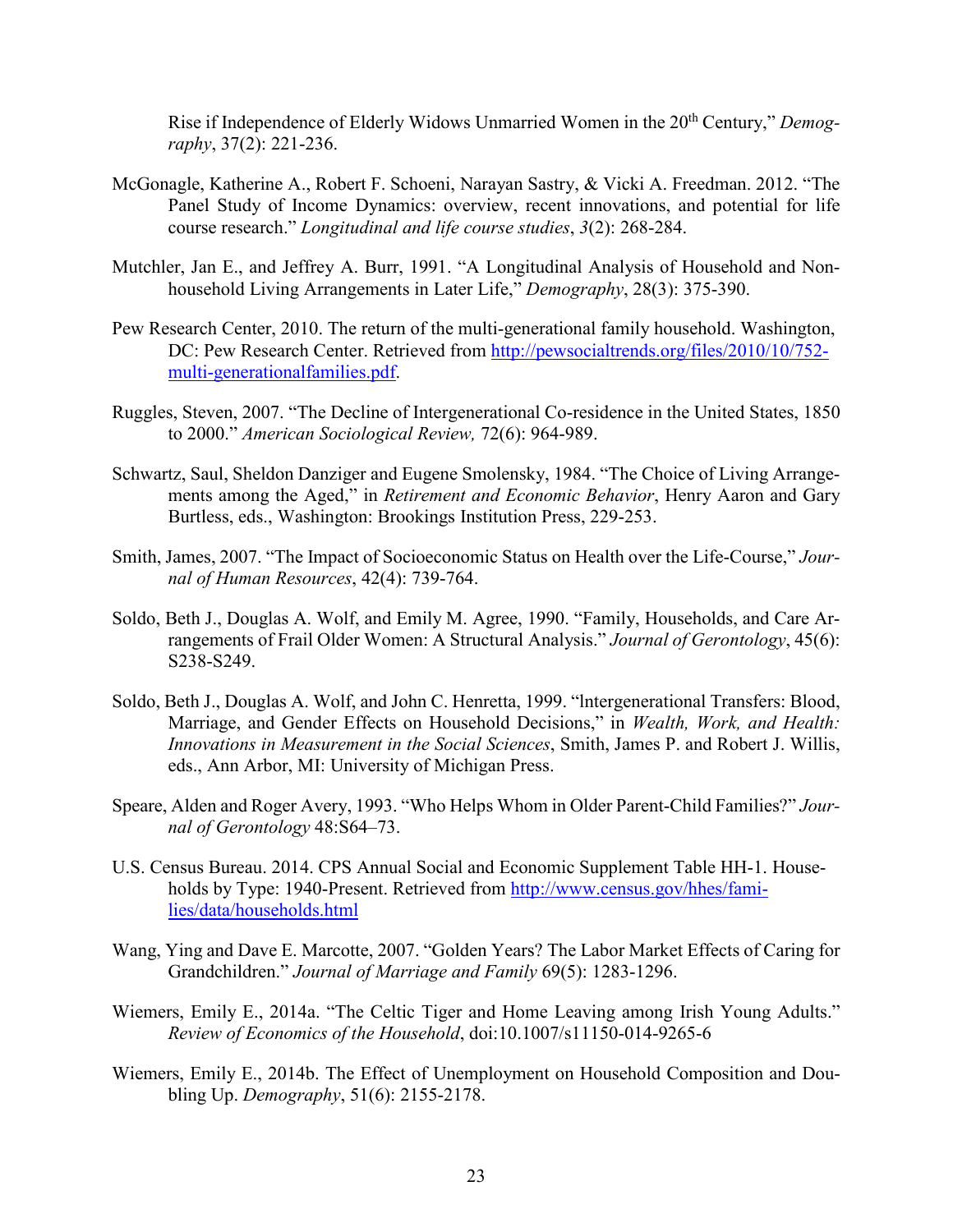Rise if Independence of Elderly Widows Unmarried Women in the 20<sup>th</sup> Century," *Demography*, 37(2): 221-236.

- McGonagle, Katherine A., Robert F. Schoeni, Narayan Sastry, & Vicki A. Freedman. 2012. "The Panel Study of Income Dynamics: overview, recent innovations, and potential for life course research." *Longitudinal and life course studies*, *3*(2): 268-284.
- Mutchler, Jan E., and Jeffrey A. Burr, 1991. "A Longitudinal Analysis of Household and Nonhousehold Living Arrangements in Later Life," *Demography*, 28(3): 375-390.
- Pew Research Center, 2010. The return of the multi-generational family household. Washington, DC: Pew Research Center. Retrieved from [http://pewsocialtrends.org/files/2010/10/752](http://pewsocialtrends.org/files/2010/10/752-multi-generationalfamilies.pdf) [multi-generationalfamilies.pdf.](http://pewsocialtrends.org/files/2010/10/752-multi-generationalfamilies.pdf)
- Ruggles, Steven, 2007. "The Decline of Intergenerational Co-residence in the United States, 1850 to 2000." *American Sociological Review,* 72(6): 964-989.
- Schwartz, Saul, Sheldon Danziger and Eugene Smolensky, 1984. "The Choice of Living Arrangements among the Aged," in *Retirement and Economic Behavior*, Henry Aaron and Gary Burtless, eds., Washington: Brookings Institution Press, 229-253.
- Smith, James, 2007. "The Impact of Socioeconomic Status on Health over the Life-Course," *Journal of Human Resources*, 42(4): 739-764.
- Soldo, Beth J., Douglas A. Wolf, and Emily M. Agree, 1990. "Family, Households, and Care Arrangements of Frail Older Women: A Structural Analysis." *Journal of Gerontology*, 45(6): S238-S249.
- Soldo, Beth J., Douglas A. Wolf, and John C. Henretta, 1999. "lntergenerational Transfers: Blood, Marriage, and Gender Effects on Household Decisions," in *Wealth, Work, and Health: Innovations in Measurement in the Social Sciences*, Smith, James P. and Robert J. Willis, eds., Ann Arbor, MI: University of Michigan Press.
- Speare, Alden and Roger Avery, 1993. "Who Helps Whom in Older Parent-Child Families?" *Journal of Gerontology* 48:S64–73.
- U.S. Census Bureau. 2014. CPS Annual Social and Economic Supplement Table HH-1. Households by Type: 1940-Present. Retrieved from [http://www.census.gov/hhes/fami](http://www.census.gov/hhes/families/data/households.html)[lies/data/households.html](http://www.census.gov/hhes/families/data/households.html)
- Wang, Ying and Dave E. Marcotte, 2007. "Golden Years? The Labor Market Effects of Caring for Grandchildren." *Journal of Marriage and Family* 69(5): 1283-1296.
- Wiemers, Emily E., 2014a. "The Celtic Tiger and Home Leaving among Irish Young Adults." *Review of Economics of the Household*, doi:10.1007/s11150-014-9265-6
- Wiemers, Emily E., 2014b. The Effect of Unemployment on Household Composition and Doubling Up. *Demography*, 51(6): 2155-2178.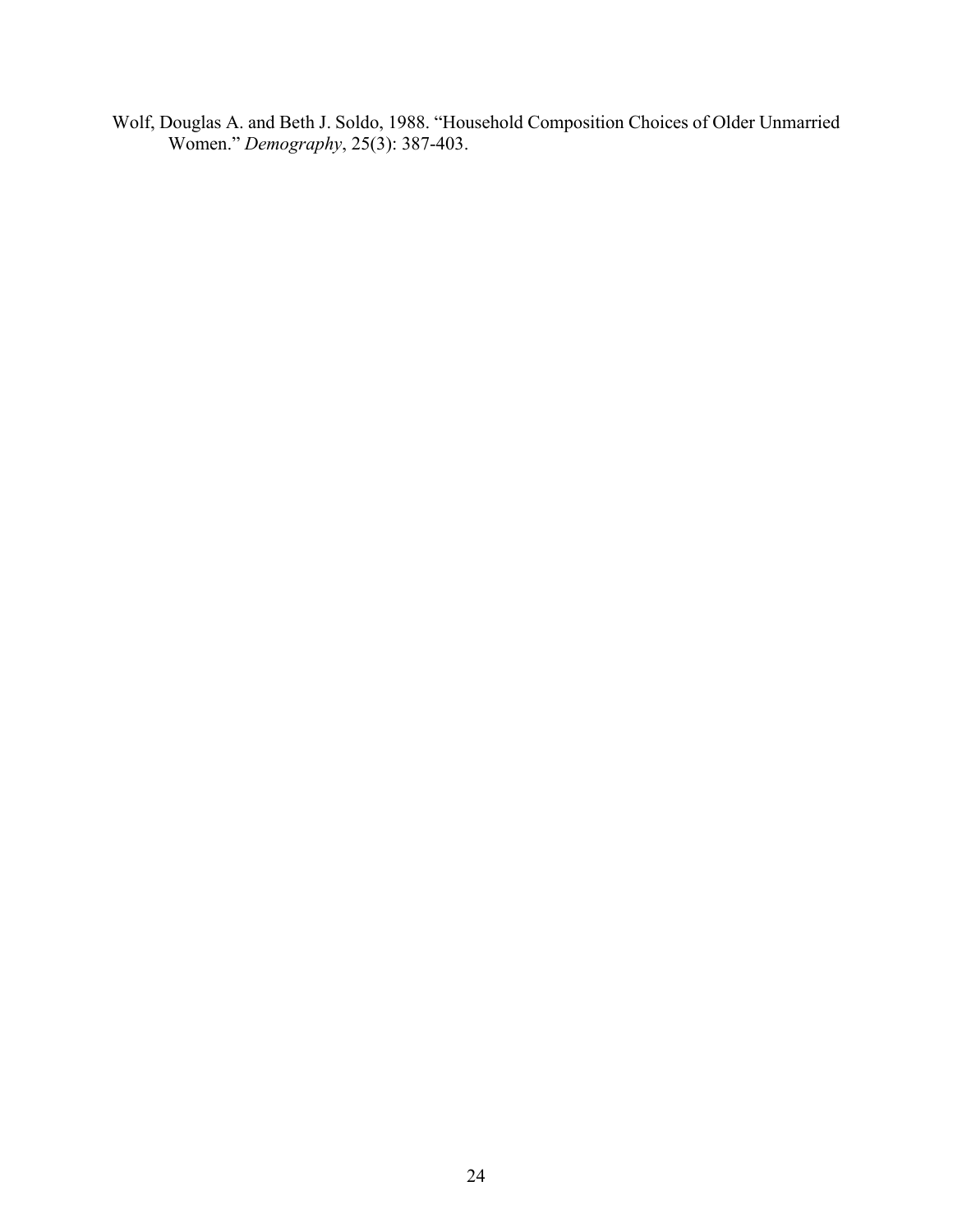Wolf, Douglas A. and Beth J. Soldo, 1988. "Household Composition Choices of Older Unmarried Women." *Demography*, 25(3): 387-403.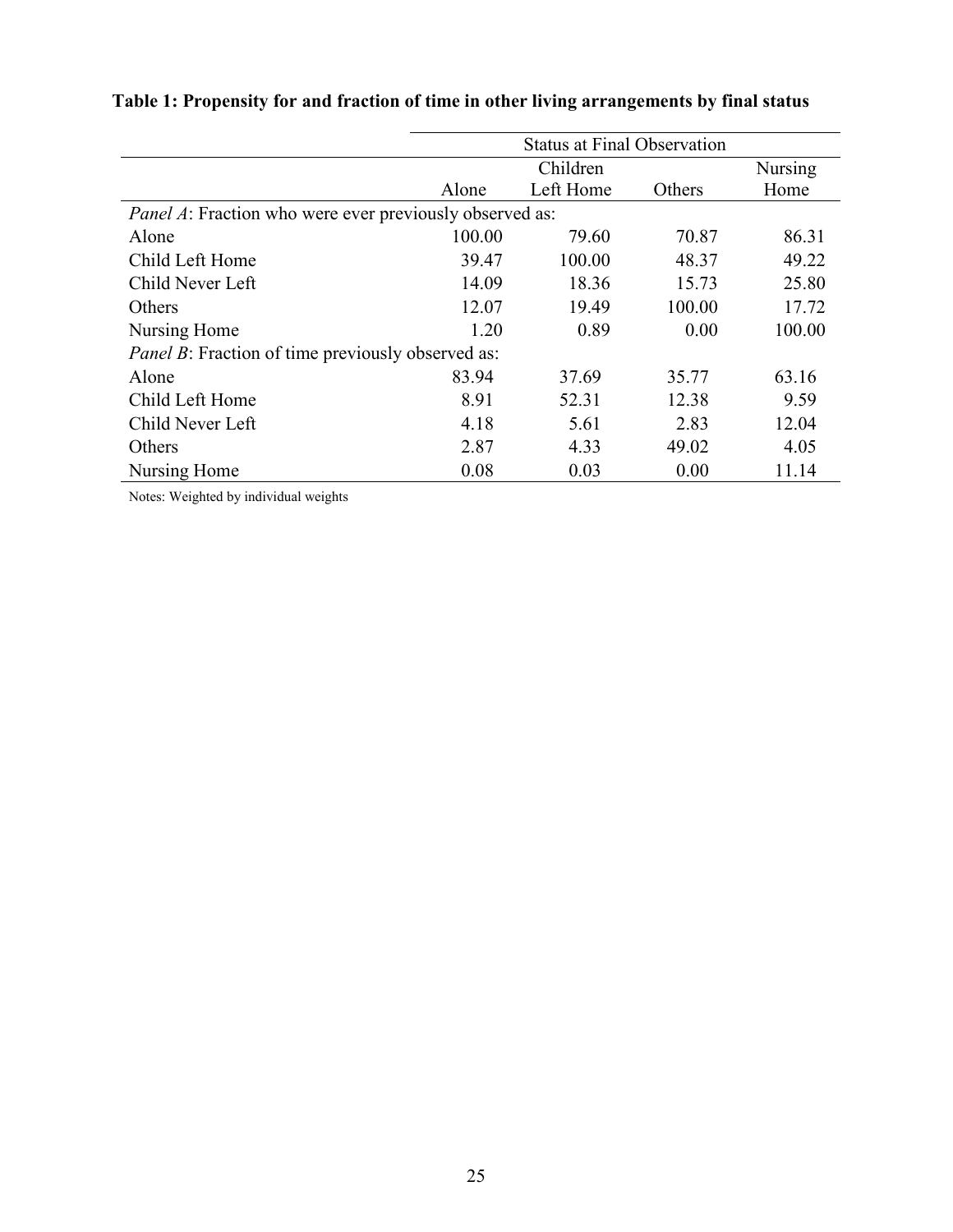|                                                                | <b>Status at Final Observation</b> |                |        |        |  |  |  |
|----------------------------------------------------------------|------------------------------------|----------------|--------|--------|--|--|--|
|                                                                |                                    | <b>Nursing</b> |        |        |  |  |  |
|                                                                | Alone                              | Left Home      | Others | Home   |  |  |  |
| <i>Panel A:</i> Fraction who were ever previously observed as: |                                    |                |        |        |  |  |  |
| Alone                                                          | 100.00                             | 79.60          | 70.87  | 86.31  |  |  |  |
| Child Left Home                                                | 39.47                              | 100.00         | 48.37  | 49.22  |  |  |  |
| Child Never Left                                               | 14.09                              | 18.36          | 15.73  | 25.80  |  |  |  |
| Others                                                         | 12.07                              | 19.49          | 100.00 | 17.72  |  |  |  |
| Nursing Home                                                   | 1.20                               | 0.89           | 0.00   | 100.00 |  |  |  |
| <i>Panel B</i> : Fraction of time previously observed as:      |                                    |                |        |        |  |  |  |
| Alone                                                          | 83.94                              | 37.69          | 35.77  | 63.16  |  |  |  |
| Child Left Home                                                | 8.91                               | 52.31          | 12.38  | 9.59   |  |  |  |
| Child Never Left                                               | 4.18                               | 5.61           | 2.83   | 12.04  |  |  |  |
| Others                                                         | 2.87                               | 4.33           | 49.02  | 4.05   |  |  |  |
| Nursing Home                                                   | 0.08                               | 0.03           | 0.00   | 11.14  |  |  |  |

# **Table 1: Propensity for and fraction of time in other living arrangements by final status**

Notes: Weighted by individual weights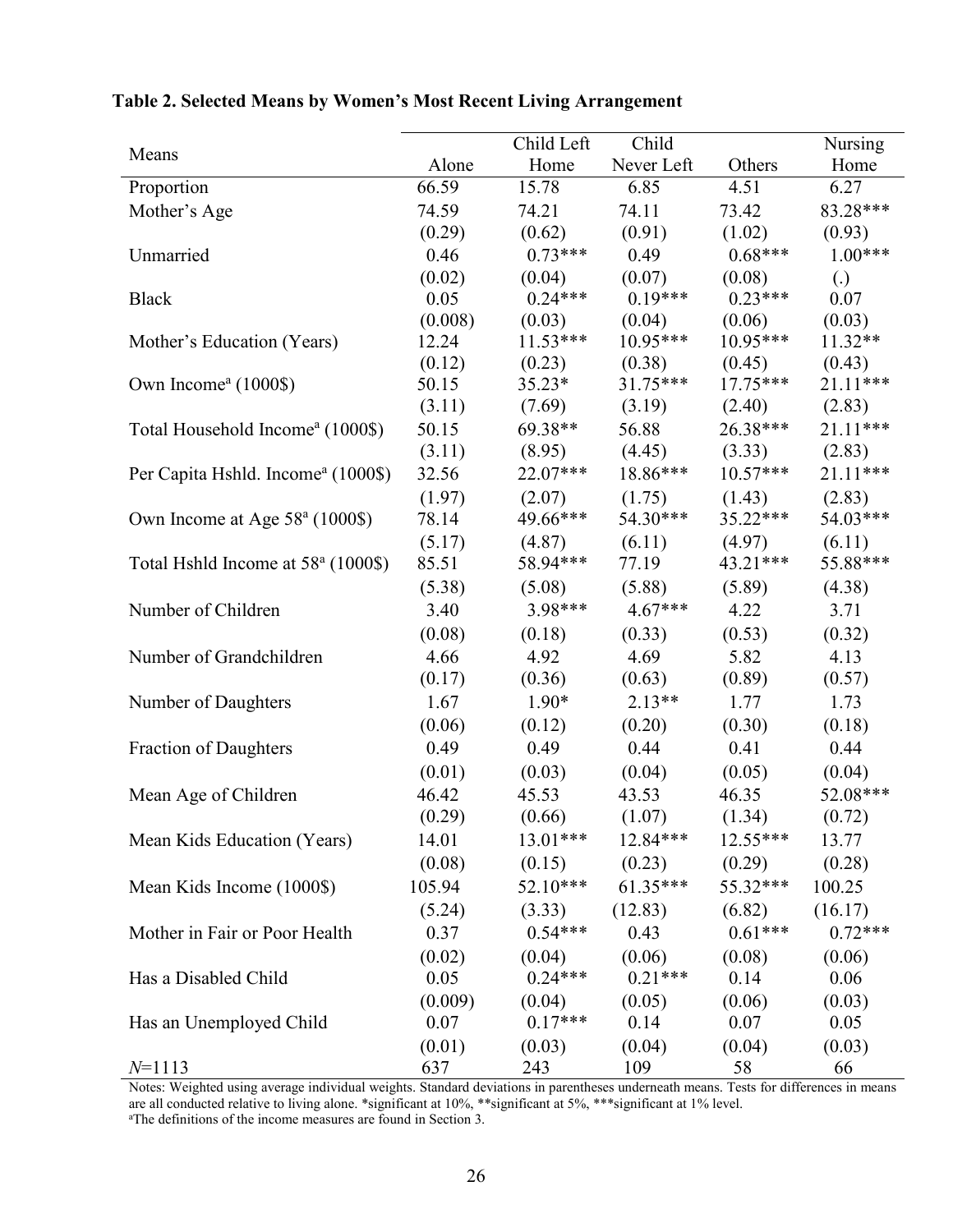|                                                |         | Child Left | Child                            |            | Nursing           |
|------------------------------------------------|---------|------------|----------------------------------|------------|-------------------|
| Means                                          | Alone   | Home       | Never Left                       | Others     | Home              |
| Proportion                                     | 66.59   | 15.78      | 6.85                             | 4.51       | 6.27              |
| Mother's Age                                   | 74.59   | 74.21      | 74.11                            | 73.42      | 83.28***          |
|                                                | (0.29)  | (0.62)     | (0.91)                           | (1.02)     | (0.93)            |
| Unmarried                                      | 0.46    | $0.73***$  | 0.49                             | $0.68***$  | $1.00***$         |
|                                                | (0.02)  | (0.04)     | (0.07)                           | (0.08)     | $\left( .\right)$ |
| <b>Black</b>                                   | 0.05    | $0.24***$  | $0.19***$                        | $0.23***$  | 0.07              |
|                                                | (0.008) | (0.03)     | (0.04)                           | (0.06)     | (0.03)            |
| Mother's Education (Years)                     | 12.24   | $11.53***$ | $10.95***$                       | $10.95***$ | 11.32**           |
|                                                | (0.12)  | (0.23)     | (0.38)                           | (0.45)     | (0.43)            |
| Own Income <sup>a</sup> (1000\$)               | 50.15   | $35.23*$   | 31.75***                         | $17.75***$ | 21.11***          |
|                                                | (3.11)  | (7.69)     | (3.19)                           | (2.40)     | (2.83)            |
| Total Household Income <sup>a</sup> (1000\$)   | 50.15   | $69.38**$  | 56.88                            | 26.38***   | $21.11***$        |
|                                                | (3.11)  | (8.95)     | (4.45)                           | (3.33)     | (2.83)            |
| Per Capita Hshld. Income <sup>a</sup> (1000\$) | 32.56   | 22.07***   | 18.86***                         | $10.57***$ | $21.11***$        |
|                                                | (1.97)  | (2.07)     | (1.75)                           | (1.43)     | (2.83)            |
| Own Income at Age 58 <sup>a</sup> (1000\$)     | 78.14   | 49.66***   | 54.30***                         | $35.22***$ | 54.03***          |
|                                                | (5.17)  | (4.87)     | (6.11)                           | (4.97)     | (6.11)            |
| Total Hshld Income at 58 <sup>a</sup> (1000\$) | 85.51   | 58.94***   | 77.19                            | $43.21***$ | 55.88***          |
|                                                | (5.38)  | (5.08)     | (5.88)                           | (5.89)     | (4.38)            |
| Number of Children                             | 3.40    | 3.98***    | 4.67***                          | 4.22       | 3.71              |
|                                                | (0.08)  | (0.18)     | (0.33)                           | (0.53)     | (0.32)            |
| Number of Grandchildren                        | 4.66    | 4.92       | 4.69                             | 5.82       | 4.13              |
|                                                | (0.17)  | (0.36)     | (0.63)                           | (0.89)     | (0.57)            |
| Number of Daughters                            | 1.67    | $1.90*$    | $2.13**$                         | 1.77       | 1.73              |
|                                                | (0.06)  | (0.12)     | (0.20)                           | (0.30)     | (0.18)            |
| <b>Fraction of Daughters</b>                   | 0.49    | 0.49       | 0.44                             | 0.41       | 0.44              |
|                                                | (0.01)  | (0.03)     | (0.04)                           | (0.05)     | (0.04)            |
| Mean Age of Children                           | 46.42   | 45.53      | 43.53                            | 46.35      | 52.08***          |
|                                                | (0.29)  | (0.66)     | (1.07)                           | (1.34)     | (0.72)            |
| Mean Kids Education (Years)                    | 14.01   |            | $13.01***$ $12.84***$ $12.55***$ |            | 13.77             |
|                                                | (0.08)  | (0.15)     | (0.23)                           | (0.29)     | (0.28)            |
| Mean Kids Income (1000\$)                      | 105.94  | $52.10***$ | $61.35***$                       | $55.32***$ | 100.25            |
|                                                |         |            |                                  | (6.82)     | (16.17)           |
|                                                | (5.24)  | $0.54***$  | $(3.33)$ $(12.83)$<br>0.43       | $0.61***$  | $0.72***$         |
| Mother in Fair or Poor Health                  | 0.37    |            |                                  |            |                   |
|                                                | (0.02)  | (0.04)     | (0.06)<br>$0.21***$              | (0.08)     | (0.06)            |
| Has a Disabled Child                           | 0.05    | $0.24***$  |                                  | 0.14       | 0.06              |
|                                                | (0.009) | (0.04)     | (0.05)                           | (0.06)     | (0.03)            |
| Has an Unemployed Child                        | 0.07    | $0.17***$  | 0.14                             | 0.07       | 0.05              |
|                                                | (0.01)  | (0.03)     | (0.04)                           | (0.04)     | (0.03)            |
| $N=1113$                                       | 637     | 243        | 109                              | 58         | 66                |

## **Table 2. Selected Means by Women's Most Recent Living Arrangement**

Notes: Weighted using average individual weights. Standard deviations in parentheses underneath means. Tests for differences in means are all conducted relative to living alone. \*significant at 10%, \*\*significant at 5%, \*\*\*significant at 1% level.

a The definitions of the income measures are found in Section 3.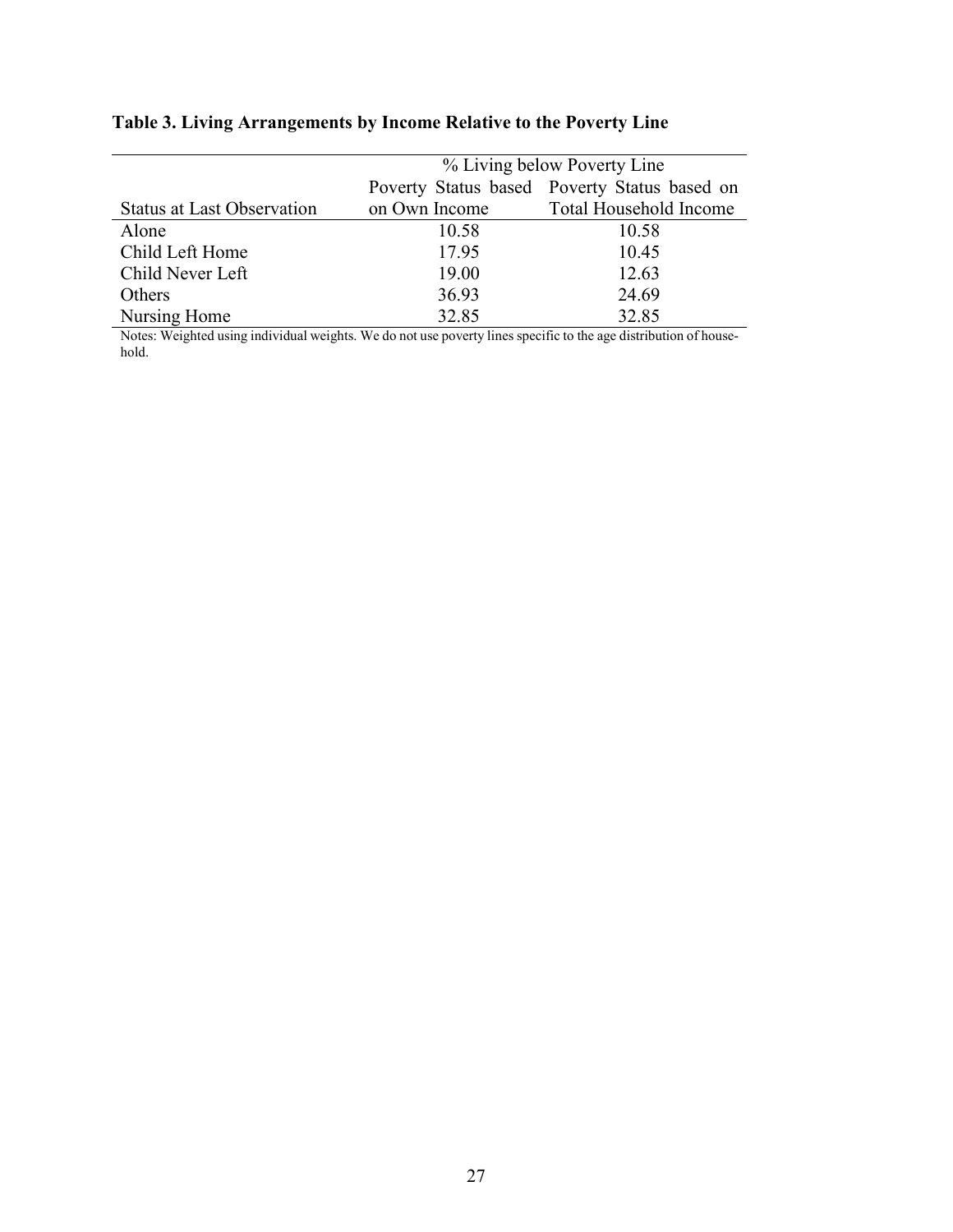|                                   | % Living below Poverty Line |                                              |  |  |
|-----------------------------------|-----------------------------|----------------------------------------------|--|--|
|                                   |                             | Poverty Status based Poverty Status based on |  |  |
| <b>Status at Last Observation</b> | on Own Income               | Total Household Income                       |  |  |
| Alone                             | 10.58                       | 10.58                                        |  |  |
| Child Left Home                   | 17.95                       | 10.45                                        |  |  |
| Child Never Left                  | 19.00                       | 12.63                                        |  |  |
| Others                            | 36.93                       | 24.69                                        |  |  |
| Nursing Home                      | 32.85                       | 32.85                                        |  |  |

## **Table 3. Living Arrangements by Income Relative to the Poverty Line**

Notes: Weighted using individual weights. We do not use poverty lines specific to the age distribution of household.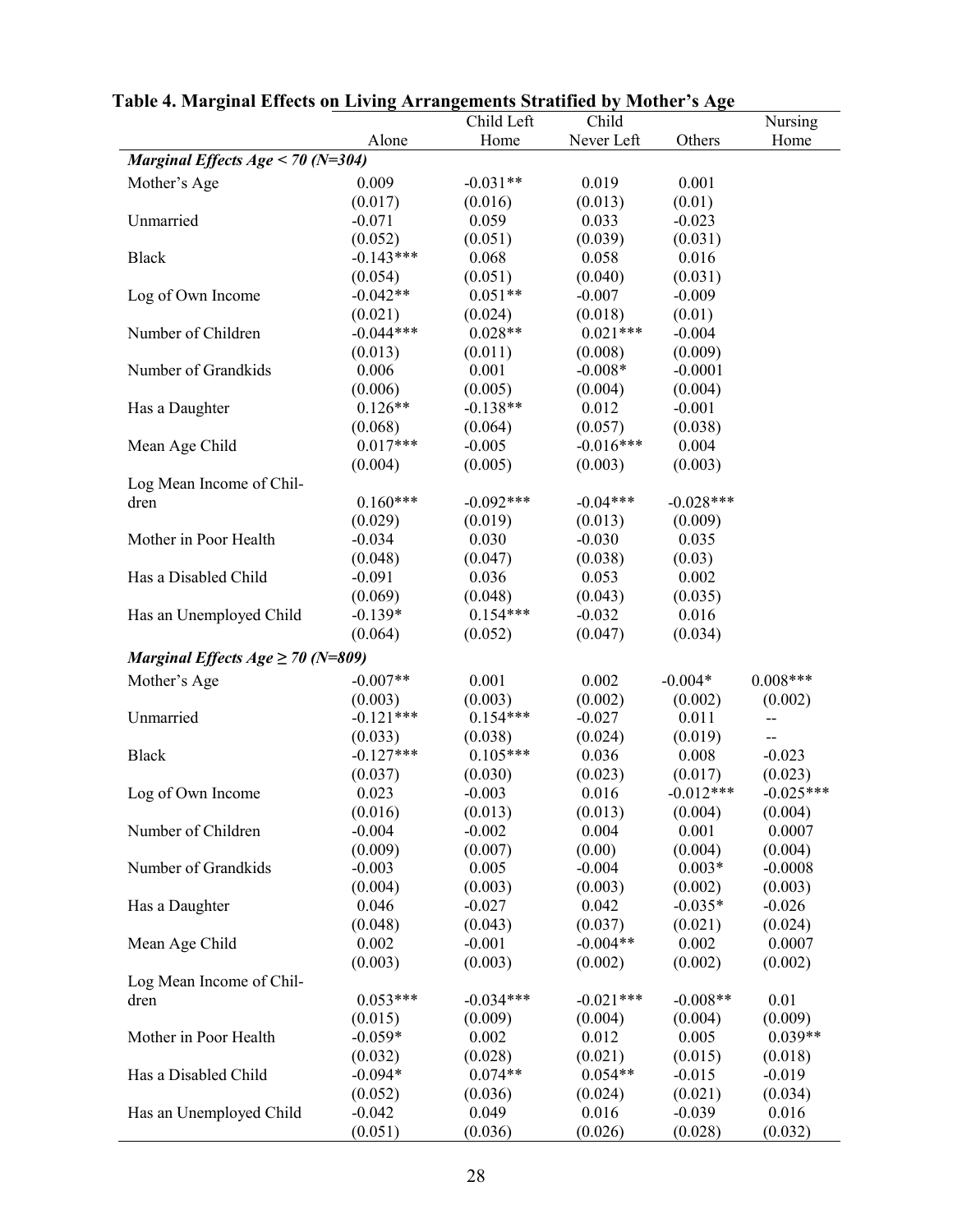|                                       |             | Child Left  | Child       |             | Nursing     |
|---------------------------------------|-------------|-------------|-------------|-------------|-------------|
|                                       | Alone       | Home        | Never Left  | Others      | Home        |
| Marginal Effects Age < 70 ( $N=304$ ) |             |             |             |             |             |
| Mother's Age                          | 0.009       | $-0.031**$  | 0.019       | 0.001       |             |
|                                       | (0.017)     | (0.016)     | (0.013)     | (0.01)      |             |
| Unmarried                             | $-0.071$    | 0.059       | 0.033       | $-0.023$    |             |
|                                       | (0.052)     | (0.051)     | (0.039)     | (0.031)     |             |
| <b>Black</b>                          | $-0.143***$ | 0.068       | 0.058       | 0.016       |             |
|                                       | (0.054)     | (0.051)     | (0.040)     | (0.031)     |             |
| Log of Own Income                     | $-0.042**$  | $0.051**$   | $-0.007$    | $-0.009$    |             |
|                                       | (0.021)     | (0.024)     | (0.018)     | (0.01)      |             |
| Number of Children                    | $-0.044***$ | $0.028**$   | $0.021***$  | $-0.004$    |             |
|                                       | (0.013)     | (0.011)     | (0.008)     | (0.009)     |             |
| Number of Grandkids                   | 0.006       | 0.001       | $-0.008*$   | $-0.0001$   |             |
|                                       | (0.006)     | (0.005)     | (0.004)     | (0.004)     |             |
| Has a Daughter                        | $0.126**$   | $-0.138**$  | 0.012       | $-0.001$    |             |
|                                       | (0.068)     | (0.064)     | (0.057)     | (0.038)     |             |
| Mean Age Child                        | $0.017***$  | $-0.005$    | $-0.016***$ | 0.004       |             |
|                                       | (0.004)     | (0.005)     | (0.003)     | (0.003)     |             |
| Log Mean Income of Chil-              |             |             |             |             |             |
| dren                                  | $0.160***$  | $-0.092***$ | $-0.04***$  | $-0.028***$ |             |
|                                       | (0.029)     | (0.019)     | (0.013)     | (0.009)     |             |
| Mother in Poor Health                 | $-0.034$    | 0.030       | $-0.030$    | 0.035       |             |
|                                       | (0.048)     | (0.047)     | (0.038)     | (0.03)      |             |
| Has a Disabled Child                  | $-0.091$    | 0.036       | 0.053       | 0.002       |             |
|                                       | (0.069)     | (0.048)     | (0.043)     | (0.035)     |             |
| Has an Unemployed Child               | $-0.139*$   | $0.154***$  | $-0.032$    | 0.016       |             |
|                                       | (0.064)     | (0.052)     | (0.047)     | (0.034)     |             |
|                                       |             |             |             |             |             |
| Marginal Effects $Age \ge 70$ (N=809) |             |             |             |             |             |
| Mother's Age                          | $-0.007**$  | 0.001       | 0.002       | $-0.004*$   | $0.008***$  |
|                                       | (0.003)     | (0.003)     | (0.002)     | (0.002)     | (0.002)     |
| Unmarried                             | $-0.121***$ | $0.154***$  | $-0.027$    | 0.011       | --          |
|                                       | (0.033)     | (0.038)     | (0.024)     | (0.019)     | --          |
| <b>Black</b>                          | $-0.127***$ | $0.105***$  | 0.036       | 0.008       | $-0.023$    |
|                                       | (0.037)     | (0.030)     | (0.023)     | (0.017)     | (0.023)     |
| Log of Own Income                     | 0.023       | $-0.003$    | 0.016       | $-0.012***$ | $-0.025***$ |
|                                       | (0.016)     | (0.013)     | (0.013)     | (0.004)     | (0.004)     |
| Number of Children                    | $-0.004$    | $-0.002$    | 0.004       | 0.001       | 0.0007      |
|                                       | (0.009)     | (0.007)     | (0.00)      | (0.004)     | (0.004)     |
| Number of Grandkids                   | $-0.003$    | 0.005       | $-0.004$    | $0.003*$    | $-0.0008$   |
|                                       | (0.004)     | (0.003)     | (0.003)     | (0.002)     | (0.003)     |
| Has a Daughter                        | 0.046       | $-0.027$    | 0.042       | $-0.035*$   | $-0.026$    |
|                                       | (0.048)     | (0.043)     | (0.037)     | (0.021)     | (0.024)     |
| Mean Age Child                        | 0.002       | $-0.001$    | $-0.004**$  | 0.002       | 0.0007      |
|                                       | (0.003)     | (0.003)     | (0.002)     | (0.002)     | (0.002)     |
| Log Mean Income of Chil-              |             |             |             |             |             |
| dren                                  | $0.053***$  | $-0.034***$ | $-0.021***$ | $-0.008**$  | 0.01        |
|                                       | (0.015)     | (0.009)     | (0.004)     | (0.004)     | (0.009)     |
| Mother in Poor Health                 | $-0.059*$   | 0.002       | 0.012       | 0.005       | $0.039**$   |
|                                       | (0.032)     | (0.028)     | (0.021)     | (0.015)     | (0.018)     |
| Has a Disabled Child                  | $-0.094*$   | $0.074**$   | $0.054**$   | $-0.015$    | $-0.019$    |
|                                       | (0.052)     | (0.036)     | (0.024)     | (0.021)     | (0.034)     |
| Has an Unemployed Child               | $-0.042$    | 0.049       | 0.016       | $-0.039$    | 0.016       |
|                                       | (0.051)     | (0.036)     | (0.026)     | (0.028)     | (0.032)     |

**Table 4. Marginal Effects on Living Arrangements Stratified by Mother's Age**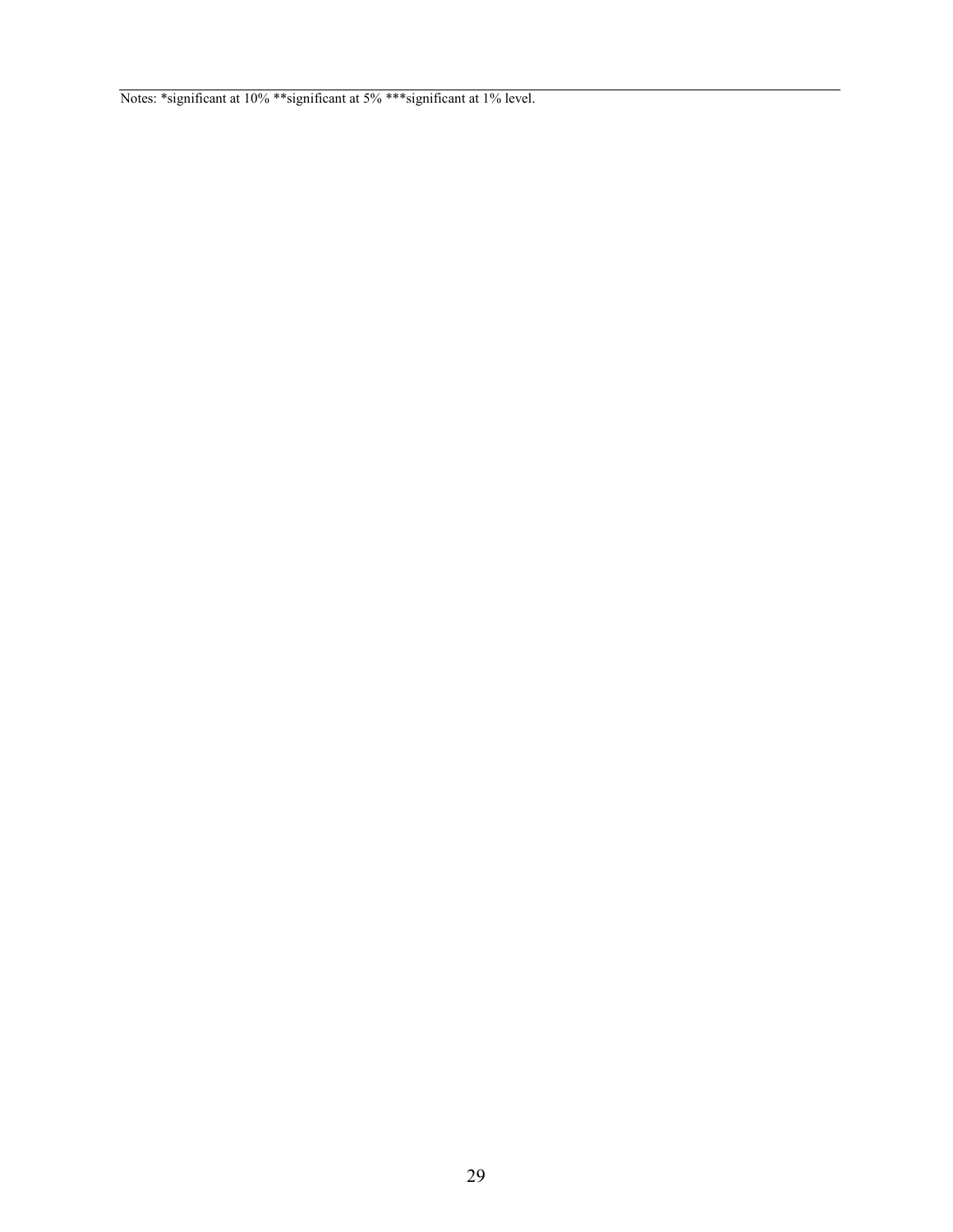Notes: \*significant at 10% \*\*significant at 5% \*\*\*significant at 1% level.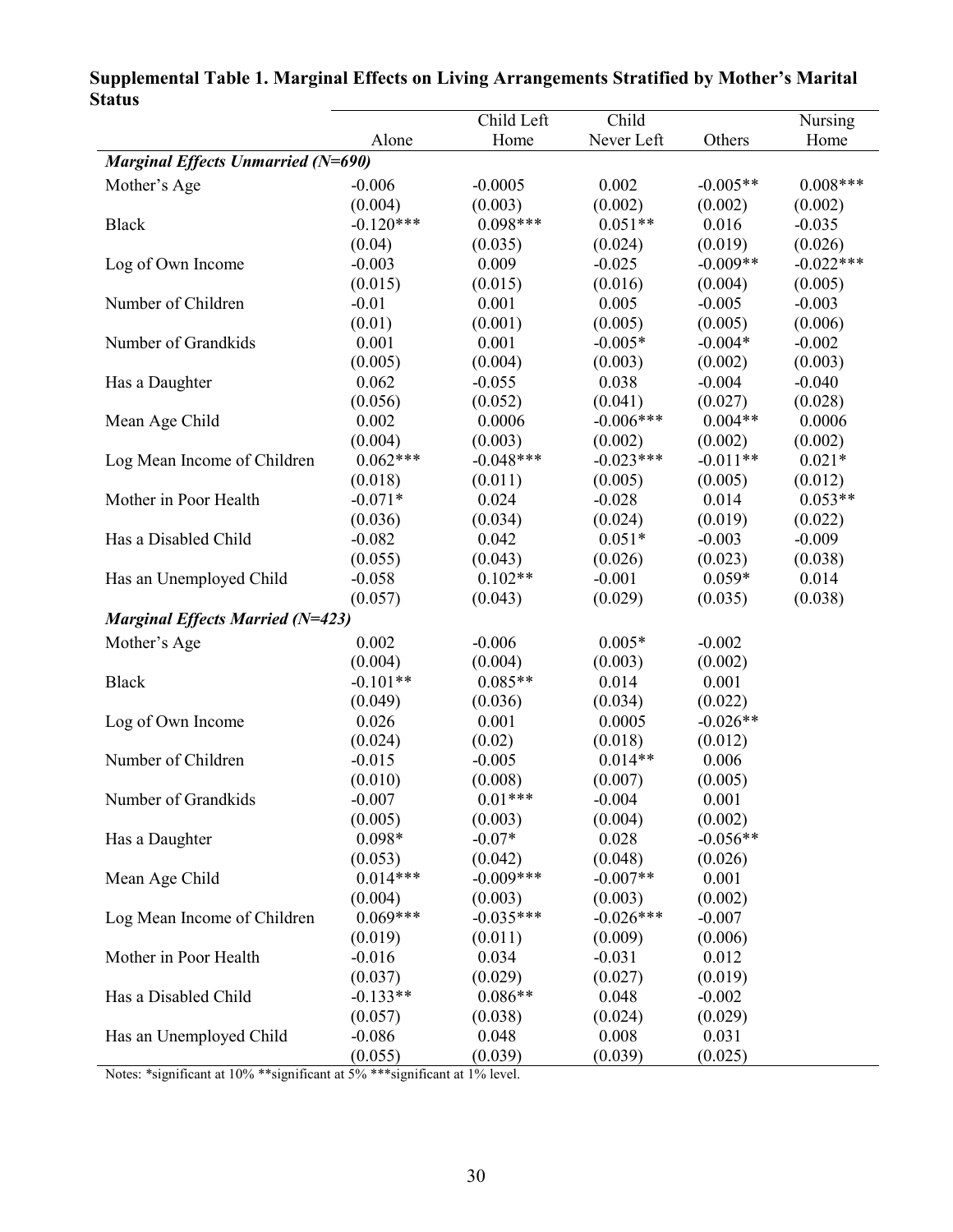| Jialus                                    |             | Child Left  | Child       |            | Nursing     |  |
|-------------------------------------------|-------------|-------------|-------------|------------|-------------|--|
|                                           | Alone       | Home        | Never Left  | Others     | Home        |  |
| <b>Marginal Effects Unmarried (N=690)</b> |             |             |             |            |             |  |
| Mother's Age                              | $-0.006$    | $-0.0005$   | 0.002       | $-0.005**$ | $0.008***$  |  |
|                                           | (0.004)     | (0.003)     | (0.002)     | (0.002)    | (0.002)     |  |
| <b>Black</b>                              | $-0.120***$ | $0.098***$  | $0.051**$   | 0.016      | $-0.035$    |  |
|                                           | (0.04)      | (0.035)     | (0.024)     | (0.019)    | (0.026)     |  |
| Log of Own Income                         | $-0.003$    | 0.009       | $-0.025$    | $-0.009**$ | $-0.022***$ |  |
|                                           | (0.015)     | (0.015)     | (0.016)     | (0.004)    | (0.005)     |  |
| Number of Children                        | $-0.01$     | 0.001       | 0.005       | $-0.005$   | $-0.003$    |  |
|                                           | (0.01)      | (0.001)     | (0.005)     | (0.005)    | (0.006)     |  |
| Number of Grandkids                       | 0.001       | 0.001       | $-0.005*$   | $-0.004*$  | $-0.002$    |  |
|                                           | (0.005)     | (0.004)     | (0.003)     | (0.002)    | (0.003)     |  |
| Has a Daughter                            | 0.062       | $-0.055$    | 0.038       | $-0.004$   | $-0.040$    |  |
|                                           | (0.056)     | (0.052)     | (0.041)     | (0.027)    | (0.028)     |  |
| Mean Age Child                            | 0.002       | 0.0006      | $-0.006***$ | $0.004**$  | 0.0006      |  |
|                                           | (0.004)     | (0.003)     | (0.002)     | (0.002)    | (0.002)     |  |
| Log Mean Income of Children               | $0.062***$  | $-0.048***$ | $-0.023***$ | $-0.011**$ | $0.021*$    |  |
|                                           | (0.018)     | (0.011)     | (0.005)     | (0.005)    | (0.012)     |  |
| Mother in Poor Health                     | $-0.071*$   | 0.024       | $-0.028$    | 0.014      | $0.053**$   |  |
|                                           | (0.036)     | (0.034)     | (0.024)     | (0.019)    | (0.022)     |  |
| Has a Disabled Child                      | $-0.082$    | 0.042       | $0.051*$    | $-0.003$   | $-0.009$    |  |
|                                           | (0.055)     | (0.043)     | (0.026)     | (0.023)    | (0.038)     |  |
| Has an Unemployed Child                   | $-0.058$    | $0.102**$   | $-0.001$    | $0.059*$   | 0.014       |  |
|                                           | (0.057)     | (0.043)     | (0.029)     | (0.035)    | (0.038)     |  |
| <b>Marginal Effects Married (N=423)</b>   |             |             |             |            |             |  |
| Mother's Age                              | 0.002       | $-0.006$    | $0.005*$    | $-0.002$   |             |  |
|                                           | (0.004)     | (0.004)     | (0.003)     | (0.002)    |             |  |
| <b>Black</b>                              | $-0.101**$  | $0.085**$   | 0.014       | 0.001      |             |  |
|                                           | (0.049)     | (0.036)     | (0.034)     | (0.022)    |             |  |
| Log of Own Income                         | 0.026       | 0.001       | 0.0005      | $-0.026**$ |             |  |
|                                           | (0.024)     | (0.02)      | (0.018)     | (0.012)    |             |  |
| Number of Children                        | $-0.015$    | $-0.005$    | $0.014**$   | 0.006      |             |  |
|                                           | (0.010)     | (0.008)     | (0.007)     | (0.005)    |             |  |
| Number of Grandkids                       | $-0.007$    | $0.01***$   | $-0.004$    | 0.001      |             |  |
|                                           | (0.005)     | (0.003)     | (0.004)     | (0.002)    |             |  |
| Has a Daughter                            | $0.098*$    | $-0.07*$    | 0.028       | $-0.056**$ |             |  |
|                                           | (0.053)     | (0.042)     | (0.048)     | (0.026)    |             |  |
| Mean Age Child                            | $0.014***$  | $-0.009***$ | $-0.007**$  | 0.001      |             |  |
|                                           | (0.004)     | (0.003)     | (0.003)     | (0.002)    |             |  |
| Log Mean Income of Children               | $0.069***$  | $-0.035***$ | $-0.026***$ | $-0.007$   |             |  |
|                                           | (0.019)     | (0.011)     | (0.009)     | (0.006)    |             |  |
| Mother in Poor Health                     | $-0.016$    | 0.034       | $-0.031$    | 0.012      |             |  |
|                                           | (0.037)     | (0.029)     | (0.027)     | (0.019)    |             |  |
| Has a Disabled Child                      | $-0.133**$  | $0.086**$   | 0.048       | $-0.002$   |             |  |
|                                           | (0.057)     | (0.038)     | (0.024)     | (0.029)    |             |  |
| Has an Unemployed Child                   | $-0.086$    | 0.048       | 0.008       | 0.031      |             |  |
|                                           | (0.055)     | (0.039)     | (0.039)     | (0.025)    |             |  |

## **Supplemental Table 1. Marginal Effects on Living Arrangements Stratified by Mother's Marital Status**

Notes: \*significant at 10% \*\*significant at 5% \*\*\*significant at 1% level.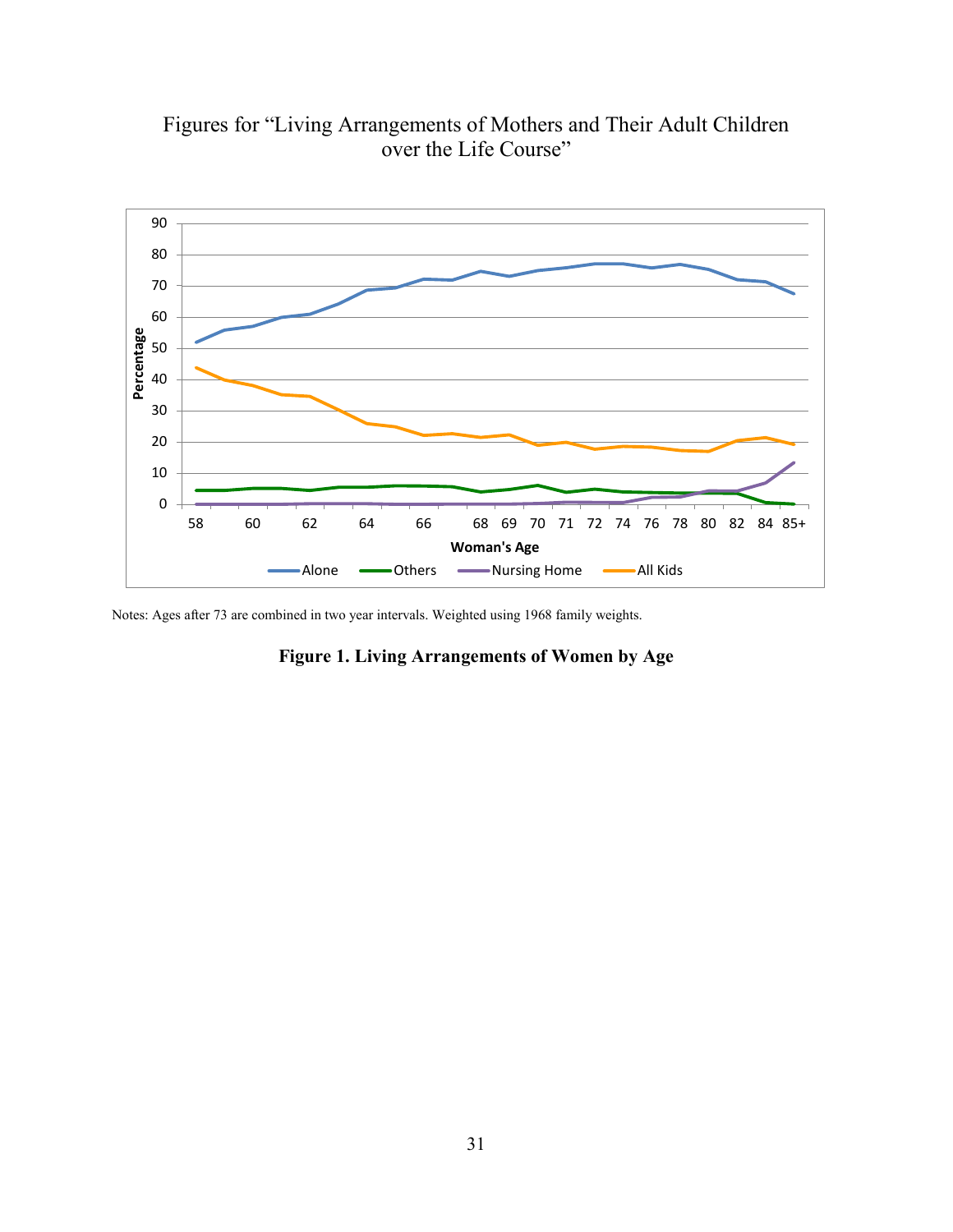

Figures for "Living Arrangements of Mothers and Their Adult Children over the Life Course"

Notes: Ages after 73 are combined in two year intervals. Weighted using 1968 family weights.